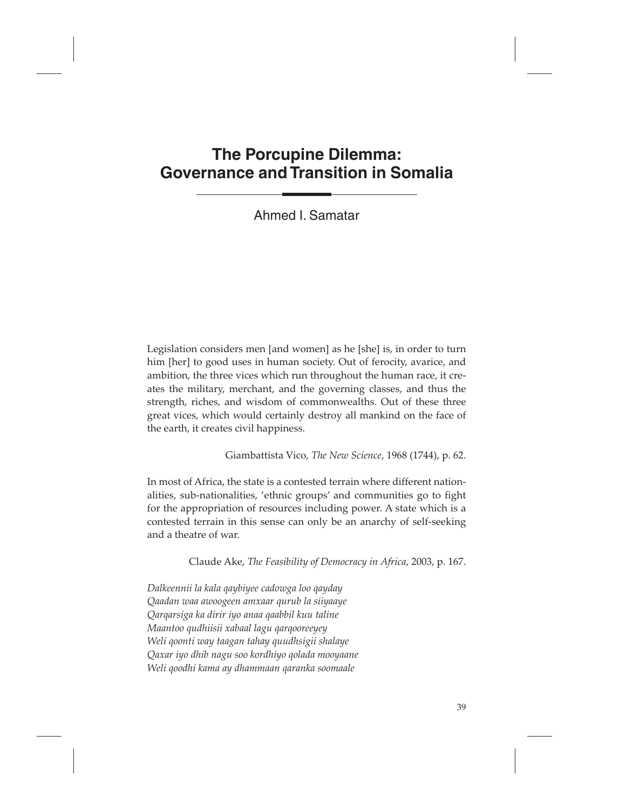# **The Porcupine Dilemma: Governance and Transition in Somalia**

## Ahmed I. Samatar

Legislation considers men [and women] as he [she] is, in order to turn him [her] to good uses in human society. Out of ferocity, avarice, and ambition, the three vices which run throughout the human race, it creates the military, merchant, and the governing classes, and thus the strength, riches, and wisdom of commonwealths. Out of these three great vices, which would certainly destroy all mankind on the face of the earth, it creates civil happiness.

Giambattista Vico, *The New Science*, 1968 (1744), p. 62.

In most of Africa, the state is a contested terrain where different nationalities, sub-nationalities, 'ethnic groups' and communities go to fight for the appropriation of resources including power. A state which is a contested terrain in this sense can only be an anarchy of self-seeking and a theatre of war.

Claude Ake, *The Feasibility of Democracy in Africa*, 2003, p. 167.

*Dalkeennii la kala qaybiyee cadowga loo qayday Qaadan waa awoogeen amxaar qurub la siiyaaye Qarqarsiga ka dirir iyo anaa qaabbil kuu taline Maantoo qudhiisii xabaal lagu qarqooreeyey Weli qoonti way taagan tahay quudhsigii shalaye Qaxar iyo dhib nagu soo kordhiyo qolada mooyaane Weli qoodhi kama ay dhammaan qaranka soomaale*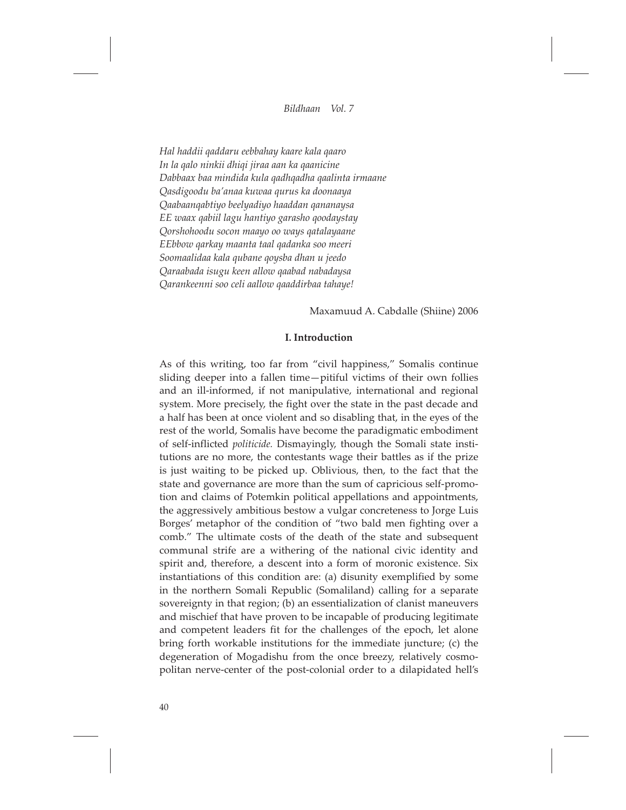*Hal haddii qaddaru eebbahay kaare kala qaaro In la qalo ninkii dhiqi jiraa aan ka qaanicine Dabbaax baa mindida kula qadhqadha qaalinta irmaane Qasdigoodu ba'anaa kuwaa qurus ka doonaaya Qaabaanqabtiyo beelyadiyo haaddan qananaysa EE waax qabiil lagu hantiyo garasho qoodaystay Qorshohoodu socon maayo oo ways qatalayaane EEbbow qarkay maanta taal qadanka soo meeri Soomaalidaa kala qubane qoysba dhan u jeedo Qaraabada isugu keen allow qaabad nabadaysa Qarankeenni soo celi aallow qaaddirbaa tahaye!*

Maxamuud A. Cabdalle (Shiine) 2006

#### **I. Introduction**

As of this writing, too far from "civil happiness," Somalis continue sliding deeper into a fallen time—pitiful victims of their own follies and an ill-informed, if not manipulative, international and regional system. More precisely, the fight over the state in the past decade and a half has been at once violent and so disabling that, in the eyes of the rest of the world, Somalis have become the paradigmatic embodiment of self-inflicted *politicide.* Dismayingly, though the Somali state institutions are no more, the contestants wage their battles as if the prize is just waiting to be picked up. Oblivious, then, to the fact that the state and governance are more than the sum of capricious self-promotion and claims of Potemkin political appellations and appointments, the aggressively ambitious bestow a vulgar concreteness to Jorge Luis Borges' metaphor of the condition of "two bald men fighting over a comb." The ultimate costs of the death of the state and subsequent communal strife are a withering of the national civic identity and spirit and, therefore, a descent into a form of moronic existence. Six instantiations of this condition are: (a) disunity exemplified by some in the northern Somali Republic (Somaliland) calling for a separate sovereignty in that region; (b) an essentialization of clanist maneuvers and mischief that have proven to be incapable of producing legitimate and competent leaders fit for the challenges of the epoch, let alone bring forth workable institutions for the immediate juncture; (c) the degeneration of Mogadishu from the once breezy, relatively cosmopolitan nerve-center of the post-colonial order to a dilapidated hell's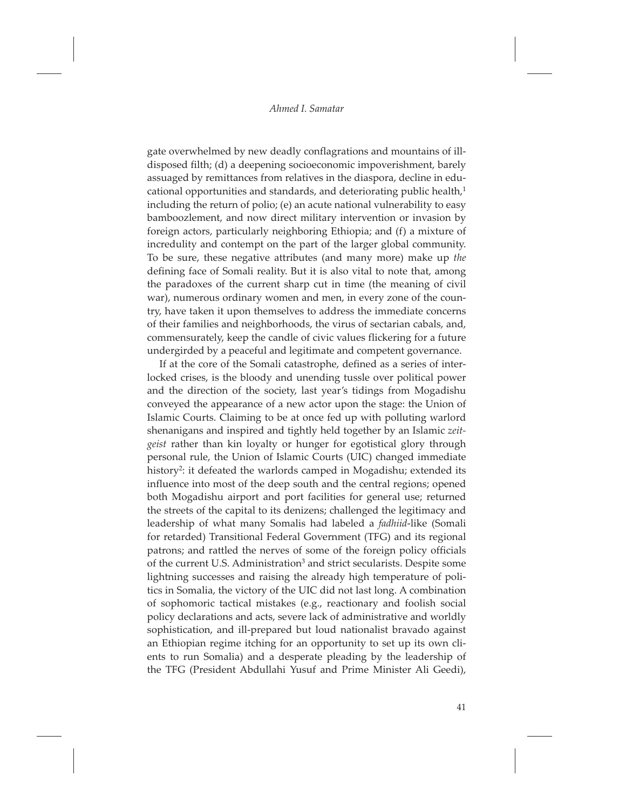gate overwhelmed by new deadly conflagrations and mountains of illdisposed filth; (d) a deepening socioeconomic impoverishment, barely assuaged by remittances from relatives in the diaspora, decline in educational opportunities and standards, and deteriorating public health, $1$ including the return of polio; (e) an acute national vulnerability to easy bamboozlement, and now direct military intervention or invasion by foreign actors, particularly neighboring Ethiopia; and (f) a mixture of incredulity and contempt on the part of the larger global community. To be sure, these negative attributes (and many more) make up *the* defining face of Somali reality. But it is also vital to note that, among the paradoxes of the current sharp cut in time (the meaning of civil war), numerous ordinary women and men, in every zone of the country, have taken it upon themselves to address the immediate concerns of their families and neighborhoods, the virus of sectarian cabals, and, commensurately, keep the candle of civic values flickering for a future undergirded by a peaceful and legitimate and competent governance.

If at the core of the Somali catastrophe, defined as a series of interlocked crises, is the bloody and unending tussle over political power and the direction of the society, last year's tidings from Mogadishu conveyed the appearance of a new actor upon the stage: the Union of Islamic Courts. Claiming to be at once fed up with polluting warlord shenanigans and inspired and tightly held together by an Islamic *zeitgeist* rather than kin loyalty or hunger for egotistical glory through personal rule, the Union of Islamic Courts (UIC) changed immediate history<sup>2</sup>: it defeated the warlords camped in Mogadishu; extended its influence into most of the deep south and the central regions; opened both Mogadishu airport and port facilities for general use; returned the streets of the capital to its denizens; challenged the legitimacy and leadership of what many Somalis had labeled a *fadhiid*-like (Somali for retarded) Transitional Federal Government (TFG) and its regional patrons; and rattled the nerves of some of the foreign policy officials of the current U.S. Administration<sup>3</sup> and strict secularists. Despite some lightning successes and raising the already high temperature of politics in Somalia, the victory of the UIC did not last long. A combination of sophomoric tactical mistakes (e.g., reactionary and foolish social policy declarations and acts, severe lack of administrative and worldly sophistication, and ill-prepared but loud nationalist bravado against an Ethiopian regime itching for an opportunity to set up its own clients to run Somalia) and a desperate pleading by the leadership of the TFG (President Abdullahi Yusuf and Prime Minister Ali Geedi),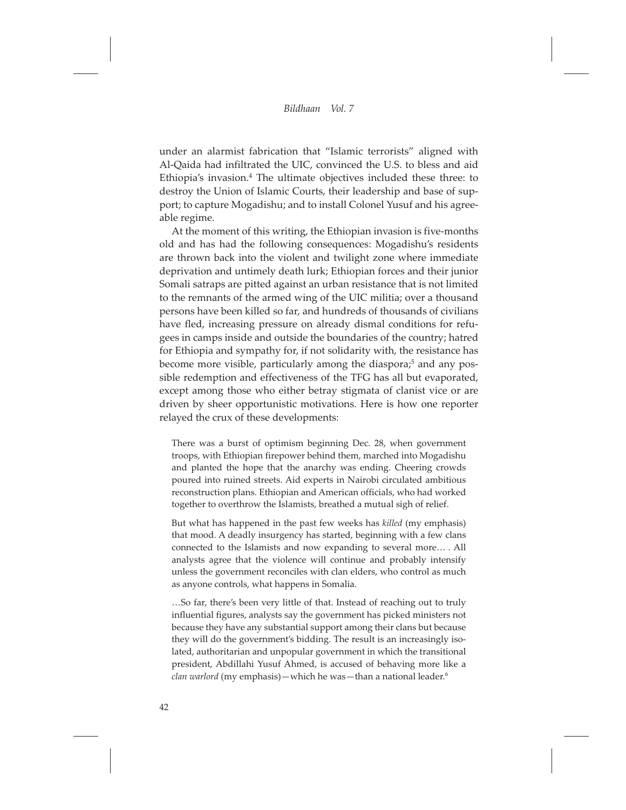under an alarmist fabrication that "Islamic terrorists" aligned with Al-Qaida had infiltrated the UIC, convinced the U.S. to bless and aid Ethiopia's invasion.<sup>4</sup> The ultimate objectives included these three: to destroy the Union of Islamic Courts, their leadership and base of support; to capture Mogadishu; and to install Colonel Yusuf and his agreeable regime.

At the moment of this writing, the Ethiopian invasion is five-months old and has had the following consequences: Mogadishu's residents are thrown back into the violent and twilight zone where immediate deprivation and untimely death lurk; Ethiopian forces and their junior Somali satraps are pitted against an urban resistance that is not limited to the remnants of the armed wing of the UIC militia; over a thousand persons have been killed so far, and hundreds of thousands of civilians have fled, increasing pressure on already dismal conditions for refugees in camps inside and outside the boundaries of the country; hatred for Ethiopia and sympathy for, if not solidarity with, the resistance has become more visible, particularly among the diaspora;<sup>5</sup> and any possible redemption and effectiveness of the TFG has all but evaporated, except among those who either betray stigmata of clanist vice or are driven by sheer opportunistic motivations. Here is how one reporter relayed the crux of these developments:

There was a burst of optimism beginning Dec. 28, when government troops, with Ethiopian firepower behind them, marched into Mogadishu and planted the hope that the anarchy was ending. Cheering crowds poured into ruined streets. Aid experts in Nairobi circulated ambitious reconstruction plans. Ethiopian and American officials, who had worked together to overthrow the Islamists, breathed a mutual sigh of relief.

But what has happened in the past few weeks has *killed* (my emphasis) that mood. A deadly insurgency has started, beginning with a few clans connected to the Islamists and now expanding to several more… . All analysts agree that the violence will continue and probably intensify unless the government reconciles with clan elders, who control as much as anyone controls, what happens in Somalia.

…So far, there's been very little of that. Instead of reaching out to truly influential figures, analysts say the government has picked ministers not because they have any substantial support among their clans but because they will do the government's bidding. The result is an increasingly isolated, authoritarian and unpopular government in which the transitional president, Abdillahi Yusuf Ahmed, is accused of behaving more like a *clan warlord* (my emphasis)—which he was—than a national leader.6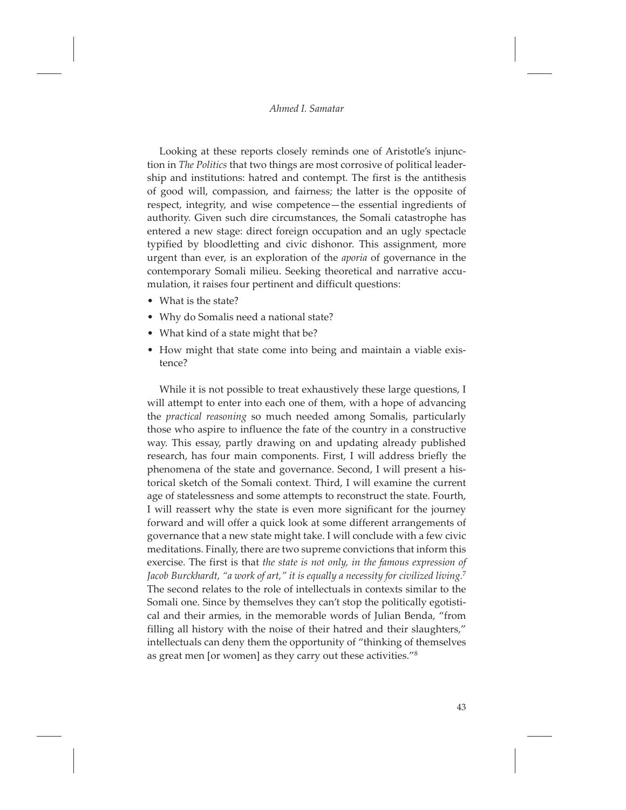Looking at these reports closely reminds one of Aristotle's injunction in *The Politics* that two things are most corrosive of political leadership and institutions: hatred and contempt. The first is the antithesis of good will, compassion, and fairness; the latter is the opposite of respect, integrity, and wise competence—the essential ingredients of authority. Given such dire circumstances, the Somali catastrophe has entered a new stage: direct foreign occupation and an ugly spectacle typified by bloodletting and civic dishonor. This assignment, more urgent than ever, is an exploration of the *aporia* of governance in the contemporary Somali milieu. Seeking theoretical and narrative accumulation, it raises four pertinent and difficult questions:

- What is the state?
- Why do Somalis need a national state?
- What kind of a state might that be?
- How might that state come into being and maintain a viable existence?

While it is not possible to treat exhaustively these large questions, I will attempt to enter into each one of them, with a hope of advancing the *practical reasoning* so much needed among Somalis, particularly those who aspire to influence the fate of the country in a constructive way. This essay, partly drawing on and updating already published research, has four main components. First, I will address briefly the phenomena of the state and governance. Second, I will present a historical sketch of the Somali context. Third, I will examine the current age of statelessness and some attempts to reconstruct the state. Fourth, I will reassert why the state is even more significant for the journey forward and will offer a quick look at some different arrangements of governance that a new state might take. I will conclude with a few civic meditations. Finally, there are two supreme convictions that inform this exercise. The first is that *the state is not only, in the famous expression of Jacob Burckhardt, "a work of art," it is equally a necessity for civilized living.*<sup>7</sup> The second relates to the role of intellectuals in contexts similar to the Somali one. Since by themselves they can't stop the politically egotistical and their armies, in the memorable words of Julian Benda, "from filling all history with the noise of their hatred and their slaughters," intellectuals can deny them the opportunity of "thinking of themselves as great men [or women] as they carry out these activities."8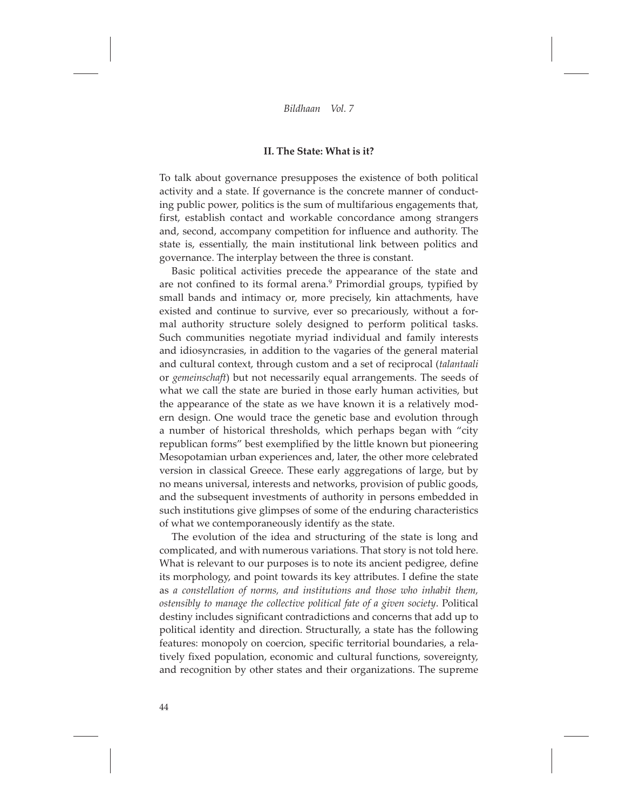#### **II. The State: What is it?**

To talk about governance presupposes the existence of both political activity and a state. If governance is the concrete manner of conducting public power, politics is the sum of multifarious engagements that, first, establish contact and workable concordance among strangers and, second, accompany competition for influence and authority. The state is, essentially, the main institutional link between politics and governance. The interplay between the three is constant.

Basic political activities precede the appearance of the state and are not confined to its formal arena.<sup>9</sup> Primordial groups, typified by small bands and intimacy or, more precisely, kin attachments, have existed and continue to survive, ever so precariously, without a formal authority structure solely designed to perform political tasks. Such communities negotiate myriad individual and family interests and idiosyncrasies, in addition to the vagaries of the general material and cultural context, through custom and a set of reciprocal (*talantaali* or *gemeinschaft*) but not necessarily equal arrangements. The seeds of what we call the state are buried in those early human activities, but the appearance of the state as we have known it is a relatively modern design. One would trace the genetic base and evolution through a number of historical thresholds, which perhaps began with "city republican forms" best exemplified by the little known but pioneering Mesopotamian urban experiences and, later, the other more celebrated version in classical Greece. These early aggregations of large, but by no means universal, interests and networks, provision of public goods, and the subsequent investments of authority in persons embedded in such institutions give glimpses of some of the enduring characteristics of what we contemporaneously identify as the state.

The evolution of the idea and structuring of the state is long and complicated, and with numerous variations. That story is not told here. What is relevant to our purposes is to note its ancient pedigree, define its morphology, and point towards its key attributes. I define the state as *a constellation of norms, and institutions and those who inhabit them, ostensibly to manage the collective political fate of a given society*. Political destiny includes significant contradictions and concerns that add up to political identity and direction. Structurally, a state has the following features: monopoly on coercion, specific territorial boundaries, a relatively fixed population, economic and cultural functions, sovereignty, and recognition by other states and their organizations. The supreme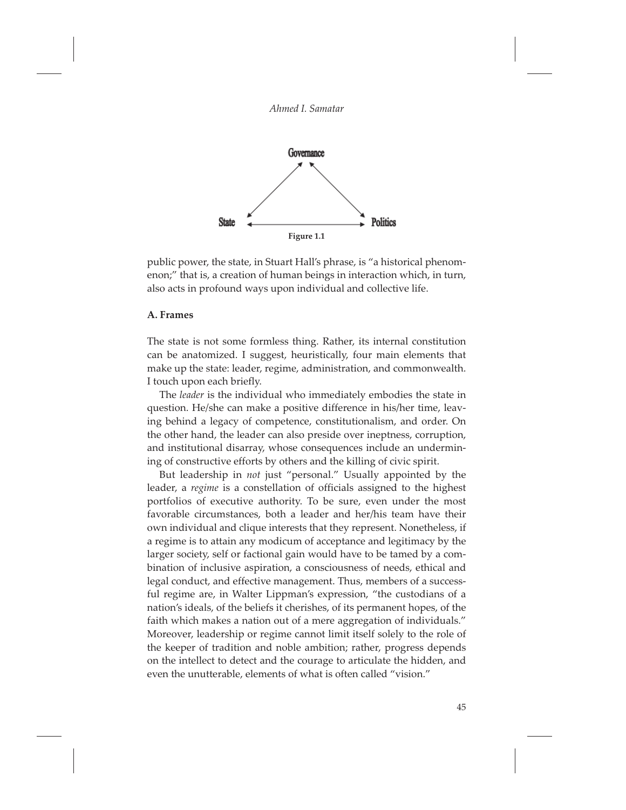

public power, the state, in Stuart Hall's phrase, is "a historical phenomenon;" that is, a creation of human beings in interaction which, in turn, also acts in profound ways upon individual and collective life.

#### **A. Frames**

The state is not some formless thing. Rather, its internal constitution can be anatomized. I suggest, heuristically, four main elements that make up the state: leader, regime, administration, and commonwealth. I touch upon each briefly.

The *leader* is the individual who immediately embodies the state in question. He/she can make a positive difference in his/her time, leaving behind a legacy of competence, constitutionalism, and order. On the other hand, the leader can also preside over ineptness, corruption, and institutional disarray, whose consequences include an undermining of constructive efforts by others and the killing of civic spirit.

But leadership in *not* just "personal." Usually appointed by the leader, a *regime* is a constellation of officials assigned to the highest portfolios of executive authority. To be sure, even under the most favorable circumstances, both a leader and her/his team have their own individual and clique interests that they represent. Nonetheless, if a regime is to attain any modicum of acceptance and legitimacy by the larger society, self or factional gain would have to be tamed by a combination of inclusive aspiration, a consciousness of needs, ethical and legal conduct, and effective management. Thus, members of a successful regime are, in Walter Lippman's expression, "the custodians of a nation's ideals, of the beliefs it cherishes, of its permanent hopes, of the faith which makes a nation out of a mere aggregation of individuals." Moreover, leadership or regime cannot limit itself solely to the role of the keeper of tradition and noble ambition; rather, progress depends on the intellect to detect and the courage to articulate the hidden, and even the unutterable, elements of what is often called "vision."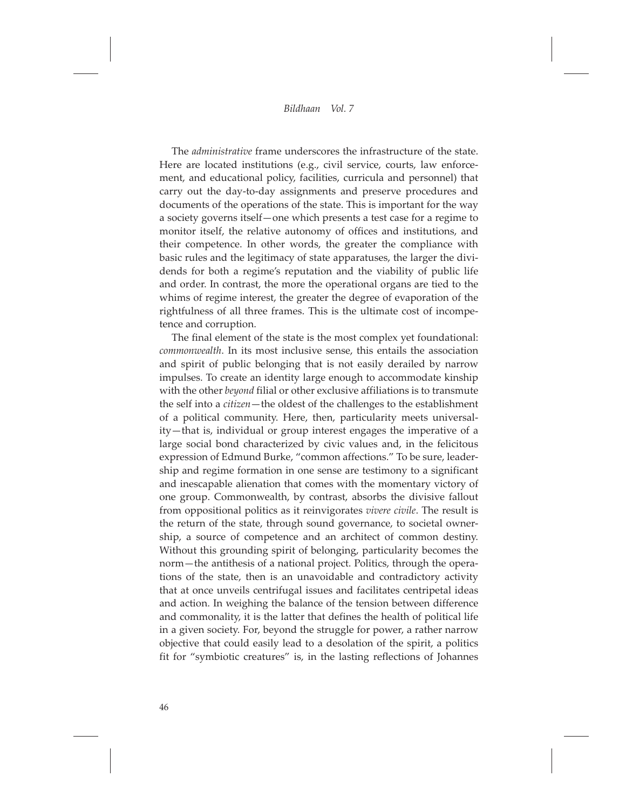The *administrative* frame underscores the infrastructure of the state. Here are located institutions (e.g., civil service, courts, law enforcement, and educational policy, facilities, curricula and personnel) that carry out the day-to-day assignments and preserve procedures and documents of the operations of the state. This is important for the way a society governs itself—one which presents a test case for a regime to monitor itself, the relative autonomy of offices and institutions, and their competence. In other words, the greater the compliance with basic rules and the legitimacy of state apparatuses, the larger the dividends for both a regime's reputation and the viability of public life and order. In contrast, the more the operational organs are tied to the whims of regime interest, the greater the degree of evaporation of the rightfulness of all three frames. This is the ultimate cost of incompetence and corruption.

The final element of the state is the most complex yet foundational: *commonwealth*. In its most inclusive sense, this entails the association and spirit of public belonging that is not easily derailed by narrow impulses. To create an identity large enough to accommodate kinship with the other *beyond* filial or other exclusive affiliations is to transmute the self into a *citizen*—the oldest of the challenges to the establishment of a political community. Here, then, particularity meets universality—that is, individual or group interest engages the imperative of a large social bond characterized by civic values and, in the felicitous expression of Edmund Burke, "common affections." To be sure, leadership and regime formation in one sense are testimony to a significant and inescapable alienation that comes with the momentary victory of one group. Commonwealth, by contrast, absorbs the divisive fallout from oppositional politics as it reinvigorates *vivere civile*. The result is the return of the state, through sound governance, to societal ownership, a source of competence and an architect of common destiny. Without this grounding spirit of belonging, particularity becomes the norm—the antithesis of a national project. Politics, through the operations of the state, then is an unavoidable and contradictory activity that at once unveils centrifugal issues and facilitates centripetal ideas and action. In weighing the balance of the tension between difference and commonality, it is the latter that defines the health of political life in a given society. For, beyond the struggle for power, a rather narrow objective that could easily lead to a desolation of the spirit, a politics fit for "symbiotic creatures" is, in the lasting reflections of Johannes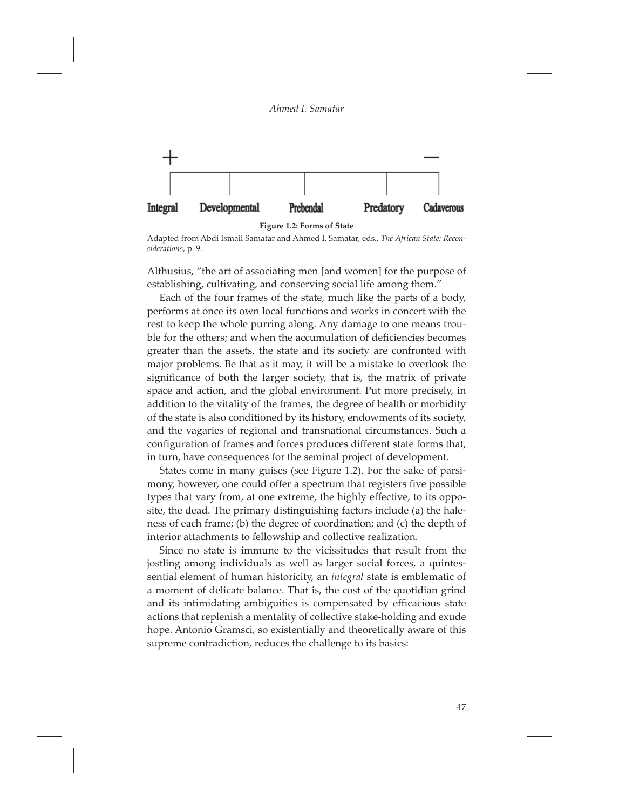



Adapted from Abdi Ismail Samatar and Ahmed I. Samatar, eds., *The African State: Reconsiderations*, p. 9.

Althusius, "the art of associating men [and women] for the purpose of establishing, cultivating, and conserving social life among them."

Each of the four frames of the state, much like the parts of a body, performs at once its own local functions and works in concert with the rest to keep the whole purring along. Any damage to one means trouble for the others; and when the accumulation of deficiencies becomes greater than the assets, the state and its society are confronted with major problems. Be that as it may, it will be a mistake to overlook the significance of both the larger society, that is, the matrix of private space and action, and the global environment. Put more precisely, in addition to the vitality of the frames, the degree of health or morbidity of the state is also conditioned by its history, endowments of its society, and the vagaries of regional and transnational circumstances. Such a configuration of frames and forces produces different state forms that, in turn, have consequences for the seminal project of development.

States come in many guises (see Figure 1.2). For the sake of parsimony, however, one could offer a spectrum that registers five possible types that vary from, at one extreme, the highly effective, to its opposite, the dead. The primary distinguishing factors include (a) the haleness of each frame; (b) the degree of coordination; and (c) the depth of interior attachments to fellowship and collective realization.

Since no state is immune to the vicissitudes that result from the jostling among individuals as well as larger social forces, a quintessential element of human historicity, an *integral* state is emblematic of a moment of delicate balance. That is, the cost of the quotidian grind and its intimidating ambiguities is compensated by efficacious state actions that replenish a mentality of collective stake-holding and exude hope. Antonio Gramsci, so existentially and theoretically aware of this supreme contradiction, reduces the challenge to its basics: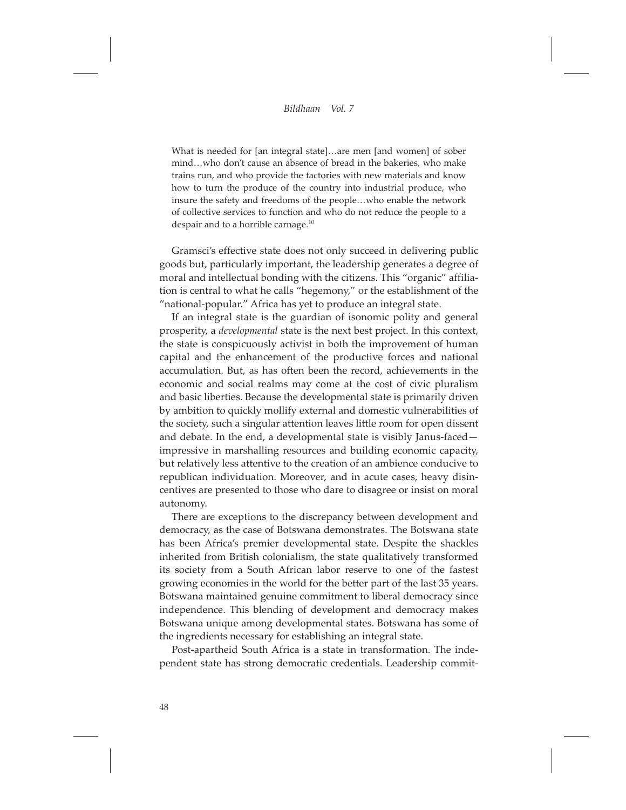What is needed for [an integral state]…are men [and women] of sober mind…who don't cause an absence of bread in the bakeries, who make trains run, and who provide the factories with new materials and know how to turn the produce of the country into industrial produce, who insure the safety and freedoms of the people…who enable the network of collective services to function and who do not reduce the people to a despair and to a horrible carnage.<sup>10</sup>

Gramsci's effective state does not only succeed in delivering public goods but, particularly important, the leadership generates a degree of moral and intellectual bonding with the citizens. This "organic" affiliation is central to what he calls "hegemony," or the establishment of the "national-popular." Africa has yet to produce an integral state.

If an integral state is the guardian of isonomic polity and general prosperity, a *developmental* state is the next best project. In this context, the state is conspicuously activist in both the improvement of human capital and the enhancement of the productive forces and national accumulation. But, as has often been the record, achievements in the economic and social realms may come at the cost of civic pluralism and basic liberties. Because the developmental state is primarily driven by ambition to quickly mollify external and domestic vulnerabilities of the society, such a singular attention leaves little room for open dissent and debate. In the end, a developmental state is visibly Janus-faced impressive in marshalling resources and building economic capacity, but relatively less attentive to the creation of an ambience conducive to republican individuation. Moreover, and in acute cases, heavy disincentives are presented to those who dare to disagree or insist on moral autonomy.

There are exceptions to the discrepancy between development and democracy, as the case of Botswana demonstrates. The Botswana state has been Africa's premier developmental state. Despite the shackles inherited from British colonialism, the state qualitatively transformed its society from a South African labor reserve to one of the fastest growing economies in the world for the better part of the last 35 years. Botswana maintained genuine commitment to liberal democracy since independence. This blending of development and democracy makes Botswana unique among developmental states. Botswana has some of the ingredients necessary for establishing an integral state.

Post-apartheid South Africa is a state in transformation. The independent state has strong democratic credentials. Leadership commit-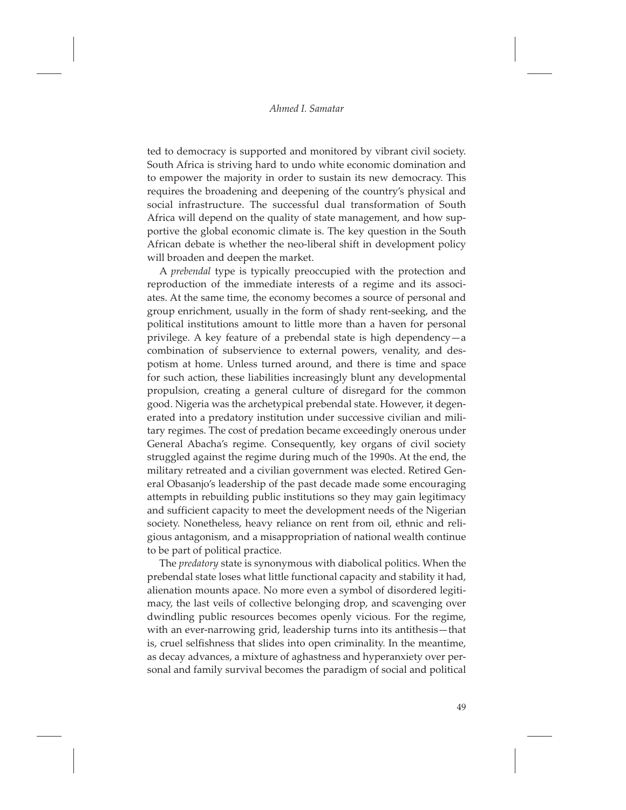ted to democracy is supported and monitored by vibrant civil society. South Africa is striving hard to undo white economic domination and to empower the majority in order to sustain its new democracy. This requires the broadening and deepening of the country's physical and social infrastructure. The successful dual transformation of South Africa will depend on the quality of state management, and how supportive the global economic climate is. The key question in the South African debate is whether the neo-liberal shift in development policy will broaden and deepen the market.

A *prebendal* type is typically preoccupied with the protection and reproduction of the immediate interests of a regime and its associates. At the same time, the economy becomes a source of personal and group enrichment, usually in the form of shady rent-seeking, and the political institutions amount to little more than a haven for personal privilege. A key feature of a prebendal state is high dependency—a combination of subservience to external powers, venality, and despotism at home. Unless turned around, and there is time and space for such action, these liabilities increasingly blunt any developmental propulsion, creating a general culture of disregard for the common good. Nigeria was the archetypical prebendal state. However, it degenerated into a predatory institution under successive civilian and military regimes. The cost of predation became exceedingly onerous under General Abacha's regime. Consequently, key organs of civil society struggled against the regime during much of the 1990s. At the end, the military retreated and a civilian government was elected. Retired General Obasanjo's leadership of the past decade made some encouraging attempts in rebuilding public institutions so they may gain legitimacy and sufficient capacity to meet the development needs of the Nigerian society. Nonetheless, heavy reliance on rent from oil, ethnic and religious antagonism, and a misappropriation of national wealth continue to be part of political practice.

The *predatory* state is synonymous with diabolical politics. When the prebendal state loses what little functional capacity and stability it had, alienation mounts apace. No more even a symbol of disordered legitimacy, the last veils of collective belonging drop, and scavenging over dwindling public resources becomes openly vicious. For the regime, with an ever-narrowing grid, leadership turns into its antithesis—that is, cruel selfishness that slides into open criminality. In the meantime, as decay advances, a mixture of aghastness and hyperanxiety over personal and family survival becomes the paradigm of social and political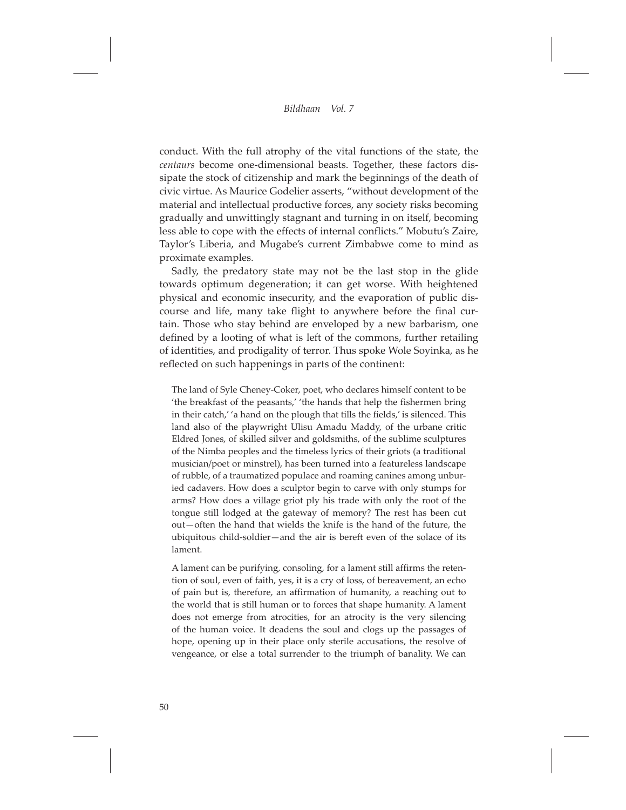conduct. With the full atrophy of the vital functions of the state, the *centaurs* become one-dimensional beasts. Together, these factors dissipate the stock of citizenship and mark the beginnings of the death of civic virtue. As Maurice Godelier asserts, "without development of the material and intellectual productive forces, any society risks becoming gradually and unwittingly stagnant and turning in on itself, becoming less able to cope with the effects of internal conflicts." Mobutu's Zaire, Taylor's Liberia, and Mugabe's current Zimbabwe come to mind as proximate examples.

Sadly, the predatory state may not be the last stop in the glide towards optimum degeneration; it can get worse. With heightened physical and economic insecurity, and the evaporation of public discourse and life, many take flight to anywhere before the final curtain. Those who stay behind are enveloped by a new barbarism, one defined by a looting of what is left of the commons, further retailing of identities, and prodigality of terror. Thus spoke Wole Soyinka, as he reflected on such happenings in parts of the continent:

The land of Syle Cheney-Coker, poet, who declares himself content to be 'the breakfast of the peasants,' 'the hands that help the fishermen bring in their catch,' 'a hand on the plough that tills the fields,' is silenced. This land also of the playwright Ulisu Amadu Maddy, of the urbane critic Eldred Jones, of skilled silver and goldsmiths, of the sublime sculptures of the Nimba peoples and the timeless lyrics of their griots (a traditional musician/poet or minstrel), has been turned into a featureless landscape of rubble, of a traumatized populace and roaming canines among unburied cadavers. How does a sculptor begin to carve with only stumps for arms? How does a village griot ply his trade with only the root of the tongue still lodged at the gateway of memory? The rest has been cut out—often the hand that wields the knife is the hand of the future, the ubiquitous child-soldier—and the air is bereft even of the solace of its lament.

A lament can be purifying, consoling, for a lament still affirms the retention of soul, even of faith, yes, it is a cry of loss, of bereavement, an echo of pain but is, therefore, an affirmation of humanity, a reaching out to the world that is still human or to forces that shape humanity. A lament does not emerge from atrocities, for an atrocity is the very silencing of the human voice. It deadens the soul and clogs up the passages of hope, opening up in their place only sterile accusations, the resolve of vengeance, or else a total surrender to the triumph of banality. We can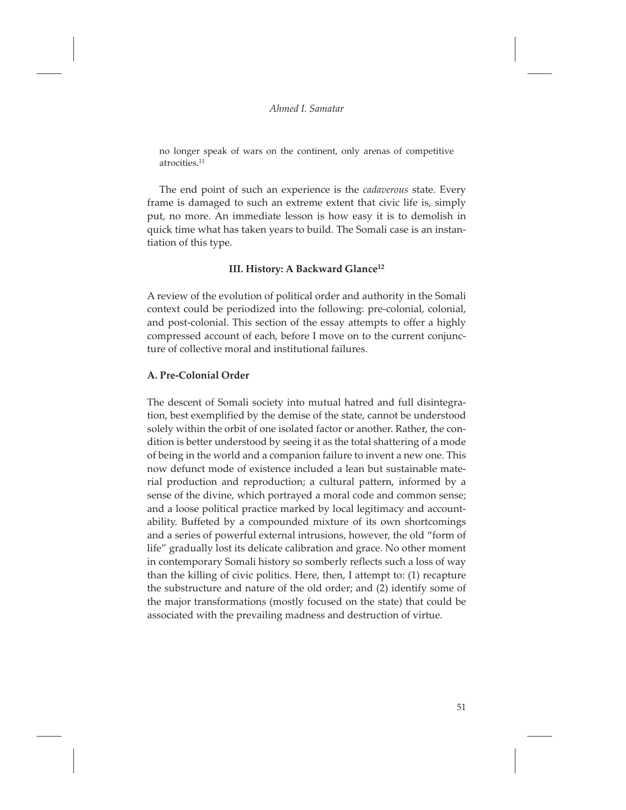no longer speak of wars on the continent, only arenas of competitive atrocities.11

The end point of such an experience is the *cadaverous* state. Every frame is damaged to such an extreme extent that civic life is, simply put, no more. An immediate lesson is how easy it is to demolish in quick time what has taken years to build. The Somali case is an instantiation of this type.

## **III. History: A Backward Glance12**

A review of the evolution of political order and authority in the Somali context could be periodized into the following: pre-colonial, colonial, and post-colonial. This section of the essay attempts to offer a highly compressed account of each, before I move on to the current conjuncture of collective moral and institutional failures.

## **A. Pre-Colonial Order**

The descent of Somali society into mutual hatred and full disintegration, best exemplified by the demise of the state, cannot be understood solely within the orbit of one isolated factor or another. Rather, the condition is better understood by seeing it as the total shattering of a mode of being in the world and a companion failure to invent a new one. This now defunct mode of existence included a lean but sustainable material production and reproduction; a cultural pattern, informed by a sense of the divine, which portrayed a moral code and common sense; and a loose political practice marked by local legitimacy and accountability. Buffeted by a compounded mixture of its own shortcomings and a series of powerful external intrusions, however, the old "form of life" gradually lost its delicate calibration and grace. No other moment in contemporary Somali history so somberly reflects such a loss of way than the killing of civic politics. Here, then, I attempt to: (1) recapture the substructure and nature of the old order; and (2) identify some of the major transformations (mostly focused on the state) that could be associated with the prevailing madness and destruction of virtue.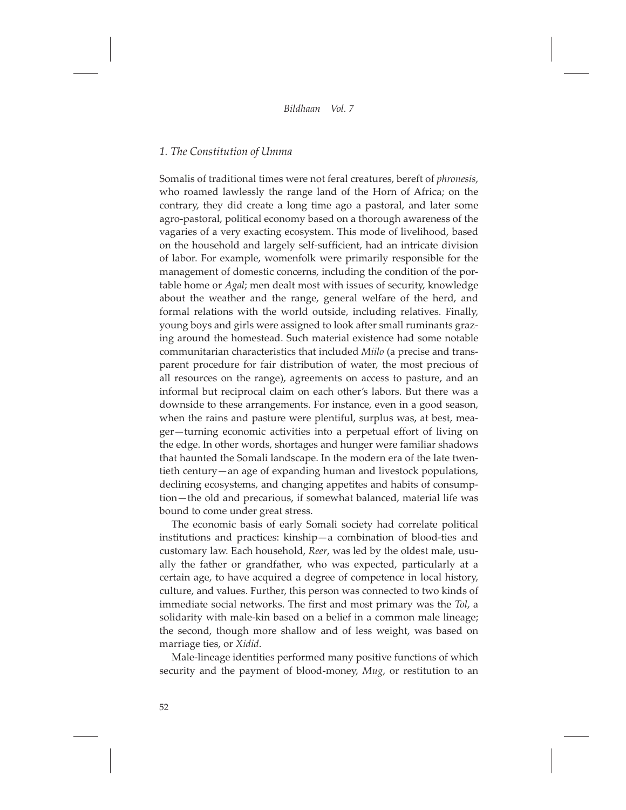## *1. The Constitution of Umma*

Somalis of traditional times were not feral creatures, bereft of *phronesis*, who roamed lawlessly the range land of the Horn of Africa; on the contrary, they did create a long time ago a pastoral, and later some agro-pastoral, political economy based on a thorough awareness of the vagaries of a very exacting ecosystem. This mode of livelihood, based on the household and largely self-sufficient, had an intricate division of labor. For example, womenfolk were primarily responsible for the management of domestic concerns, including the condition of the portable home or *Agal*; men dealt most with issues of security, knowledge about the weather and the range, general welfare of the herd, and formal relations with the world outside, including relatives. Finally, young boys and girls were assigned to look after small ruminants grazing around the homestead. Such material existence had some notable communitarian characteristics that included *Miilo* (a precise and transparent procedure for fair distribution of water, the most precious of all resources on the range), agreements on access to pasture, and an informal but reciprocal claim on each other's labors. But there was a downside to these arrangements. For instance, even in a good season, when the rains and pasture were plentiful, surplus was, at best, meager—turning economic activities into a perpetual effort of living on the edge. In other words, shortages and hunger were familiar shadows that haunted the Somali landscape. In the modern era of the late twentieth century—an age of expanding human and livestock populations, declining ecosystems, and changing appetites and habits of consumption—the old and precarious, if somewhat balanced, material life was bound to come under great stress.

The economic basis of early Somali society had correlate political institutions and practices: kinship—a combination of blood-ties and customary law. Each household, *Reer*, was led by the oldest male, usually the father or grandfather, who was expected, particularly at a certain age, to have acquired a degree of competence in local history, culture, and values. Further, this person was connected to two kinds of immediate social networks. The first and most primary was the *Tol*, a solidarity with male-kin based on a belief in a common male lineage; the second, though more shallow and of less weight, was based on marriage ties, or *Xidid*.

Male-lineage identities performed many positive functions of which security and the payment of blood-money, *Mug*, or restitution to an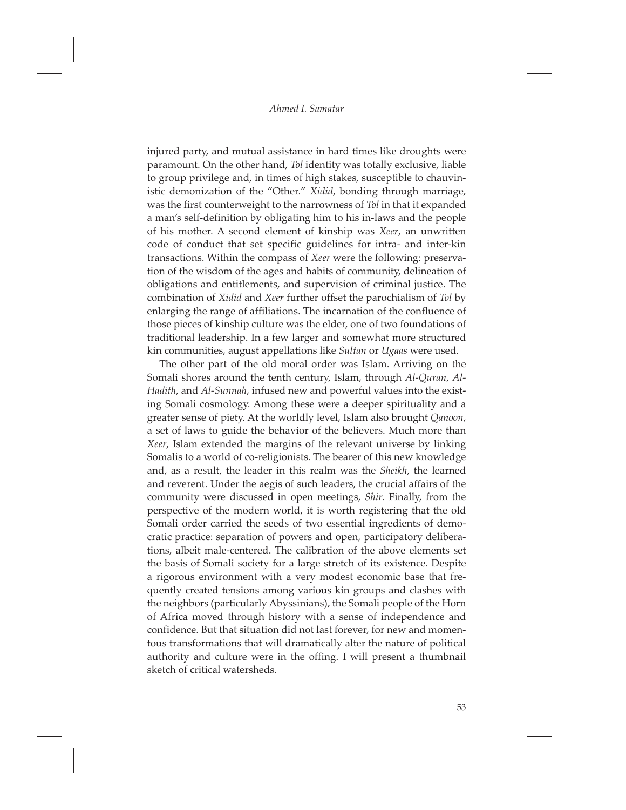injured party, and mutual assistance in hard times like droughts were paramount. On the other hand, *Tol* identity was totally exclusive, liable to group privilege and, in times of high stakes, susceptible to chauvinistic demonization of the "Other." *Xidid*, bonding through marriage, was the first counterweight to the narrowness of *Tol* in that it expanded a man's self-definition by obligating him to his in-laws and the people of his mother. A second element of kinship was *Xeer*, an unwritten code of conduct that set specific guidelines for intra- and inter-kin transactions. Within the compass of *Xeer* were the following: preservation of the wisdom of the ages and habits of community, delineation of obligations and entitlements, and supervision of criminal justice. The combination of *Xidid* and *Xeer* further offset the parochialism of *Tol* by enlarging the range of affiliations. The incarnation of the confluence of those pieces of kinship culture was the elder, one of two foundations of traditional leadership. In a few larger and somewhat more structured kin communities, august appellations like *Sultan* or *Ugaas* were used.

The other part of the old moral order was Islam. Arriving on the Somali shores around the tenth century, Islam, through *Al-Quran*, *Al-Hadith*, and *Al-Sunnah*, infused new and powerful values into the existing Somali cosmology. Among these were a deeper spirituality and a greater sense of piety. At the worldly level, Islam also brought *Qanoon*, a set of laws to guide the behavior of the believers. Much more than *Xeer*, Islam extended the margins of the relevant universe by linking Somalis to a world of co-religionists. The bearer of this new knowledge and, as a result, the leader in this realm was the *Sheikh*, the learned and reverent. Under the aegis of such leaders, the crucial affairs of the community were discussed in open meetings, *Shir*. Finally, from the perspective of the modern world, it is worth registering that the old Somali order carried the seeds of two essential ingredients of democratic practice: separation of powers and open, participatory deliberations, albeit male-centered. The calibration of the above elements set the basis of Somali society for a large stretch of its existence. Despite a rigorous environment with a very modest economic base that frequently created tensions among various kin groups and clashes with the neighbors (particularly Abyssinians), the Somali people of the Horn of Africa moved through history with a sense of independence and confidence. But that situation did not last forever, for new and momentous transformations that will dramatically alter the nature of political authority and culture were in the offing. I will present a thumbnail sketch of critical watersheds.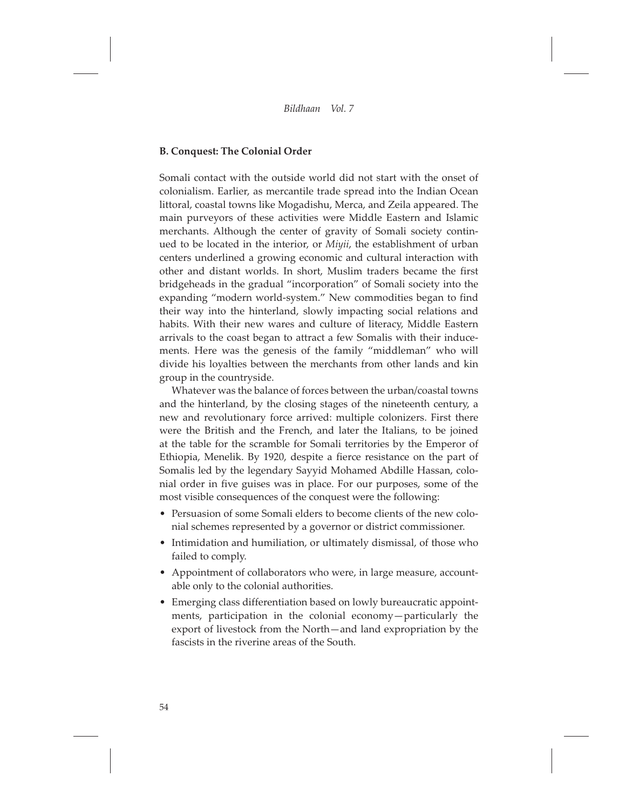#### **B. Conquest: The Colonial Order**

Somali contact with the outside world did not start with the onset of colonialism. Earlier, as mercantile trade spread into the Indian Ocean littoral, coastal towns like Mogadishu, Merca, and Zeila appeared. The main purveyors of these activities were Middle Eastern and Islamic merchants. Although the center of gravity of Somali society continued to be located in the interior, or *Miyii*, the establishment of urban centers underlined a growing economic and cultural interaction with other and distant worlds. In short, Muslim traders became the first bridgeheads in the gradual "incorporation" of Somali society into the expanding "modern world-system." New commodities began to find their way into the hinterland, slowly impacting social relations and habits. With their new wares and culture of literacy, Middle Eastern arrivals to the coast began to attract a few Somalis with their inducements. Here was the genesis of the family "middleman" who will divide his loyalties between the merchants from other lands and kin group in the countryside.

Whatever was the balance of forces between the urban/coastal towns and the hinterland, by the closing stages of the nineteenth century, a new and revolutionary force arrived: multiple colonizers. First there were the British and the French, and later the Italians, to be joined at the table for the scramble for Somali territories by the Emperor of Ethiopia, Menelik. By 1920, despite a fierce resistance on the part of Somalis led by the legendary Sayyid Mohamed Abdille Hassan, colonial order in five guises was in place. For our purposes, some of the most visible consequences of the conquest were the following:

- Persuasion of some Somali elders to become clients of the new colonial schemes represented by a governor or district commissioner.
- Intimidation and humiliation, or ultimately dismissal, of those who failed to comply.
- Appointment of collaborators who were, in large measure, accountable only to the colonial authorities.
- Emerging class differentiation based on lowly bureaucratic appointments, participation in the colonial economy—particularly the export of livestock from the North—and land expropriation by the fascists in the riverine areas of the South.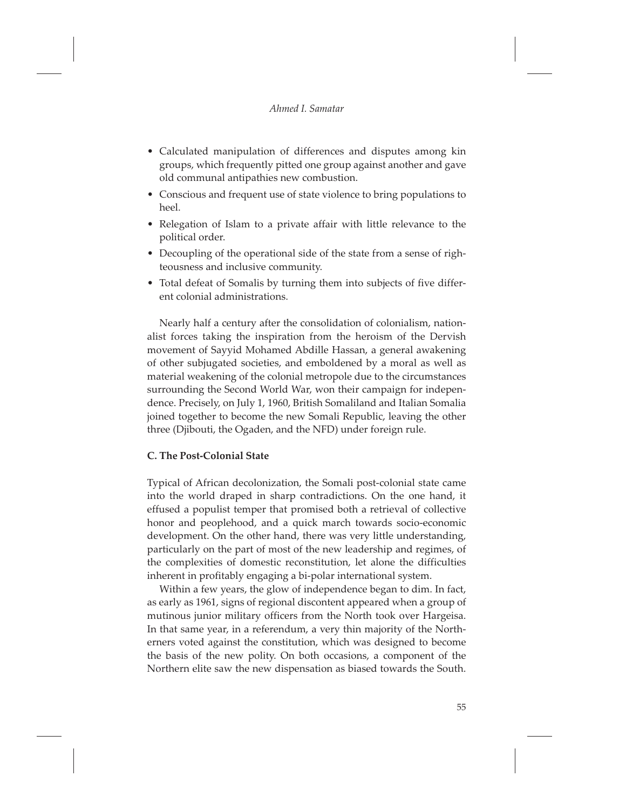- Calculated manipulation of differences and disputes among kin groups, which frequently pitted one group against another and gave old communal antipathies new combustion.
- Conscious and frequent use of state violence to bring populations to heel.
- Relegation of Islam to a private affair with little relevance to the political order.
- Decoupling of the operational side of the state from a sense of righteousness and inclusive community.
- Total defeat of Somalis by turning them into subjects of five different colonial administrations.

Nearly half a century after the consolidation of colonialism, nationalist forces taking the inspiration from the heroism of the Dervish movement of Sayyid Mohamed Abdille Hassan, a general awakening of other subjugated societies, and emboldened by a moral as well as material weakening of the colonial metropole due to the circumstances surrounding the Second World War, won their campaign for independence. Precisely, on July 1, 1960, British Somaliland and Italian Somalia joined together to become the new Somali Republic, leaving the other three (Djibouti, the Ogaden, and the NFD) under foreign rule.

## **C. The Post-Colonial State**

Typical of African decolonization, the Somali post-colonial state came into the world draped in sharp contradictions. On the one hand, it effused a populist temper that promised both a retrieval of collective honor and peoplehood, and a quick march towards socio-economic development. On the other hand, there was very little understanding, particularly on the part of most of the new leadership and regimes, of the complexities of domestic reconstitution, let alone the difficulties inherent in profitably engaging a bi-polar international system.

Within a few years, the glow of independence began to dim. In fact, as early as 1961, signs of regional discontent appeared when a group of mutinous junior military officers from the North took over Hargeisa. In that same year, in a referendum, a very thin majority of the Northerners voted against the constitution, which was designed to become the basis of the new polity. On both occasions, a component of the Northern elite saw the new dispensation as biased towards the South.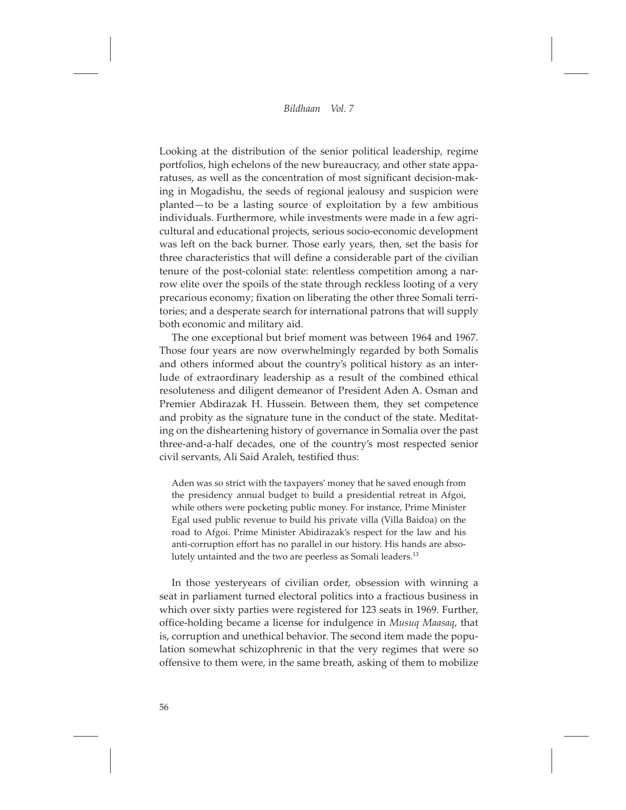Looking at the distribution of the senior political leadership, regime portfolios, high echelons of the new bureaucracy, and other state apparatuses, as well as the concentration of most significant decision-making in Mogadishu, the seeds of regional jealousy and suspicion were planted—to be a lasting source of exploitation by a few ambitious individuals. Furthermore, while investments were made in a few agricultural and educational projects, serious socio-economic development was left on the back burner. Those early years, then, set the basis for three characteristics that will define a considerable part of the civilian tenure of the post-colonial state: relentless competition among a narrow elite over the spoils of the state through reckless looting of a very precarious economy; fixation on liberating the other three Somali territories; and a desperate search for international patrons that will supply both economic and military aid.

The one exceptional but brief moment was between 1964 and 1967. Those four years are now overwhelmingly regarded by both Somalis and others informed about the country's political history as an interlude of extraordinary leadership as a result of the combined ethical resoluteness and diligent demeanor of President Aden A. Osman and Premier Abdirazak H. Hussein. Between them, they set competence and probity as the signature tune in the conduct of the state. Meditating on the disheartening history of governance in Somalia over the past three-and-a-half decades, one of the country's most respected senior civil servants, Ali Said Araleh, testified thus:

Aden was so strict with the taxpayers' money that he saved enough from the presidency annual budget to build a presidential retreat in Afgoi, while others were pocketing public money. For instance, Prime Minister Egal used public revenue to build his private villa (Villa Baidoa) on the road to Afgoi. Prime Minister Abidirazak's respect for the law and his anti-corruption effort has no parallel in our history. His hands are absolutely untainted and the two are peerless as Somali leaders.<sup>13</sup>

In those yesteryears of civilian order, obsession with winning a seat in parliament turned electoral politics into a fractious business in which over sixty parties were registered for 123 seats in 1969. Further, office-holding became a license for indulgence in *Musuq Maasaq*, that is, corruption and unethical behavior. The second item made the population somewhat schizophrenic in that the very regimes that were so offensive to them were, in the same breath, asking of them to mobilize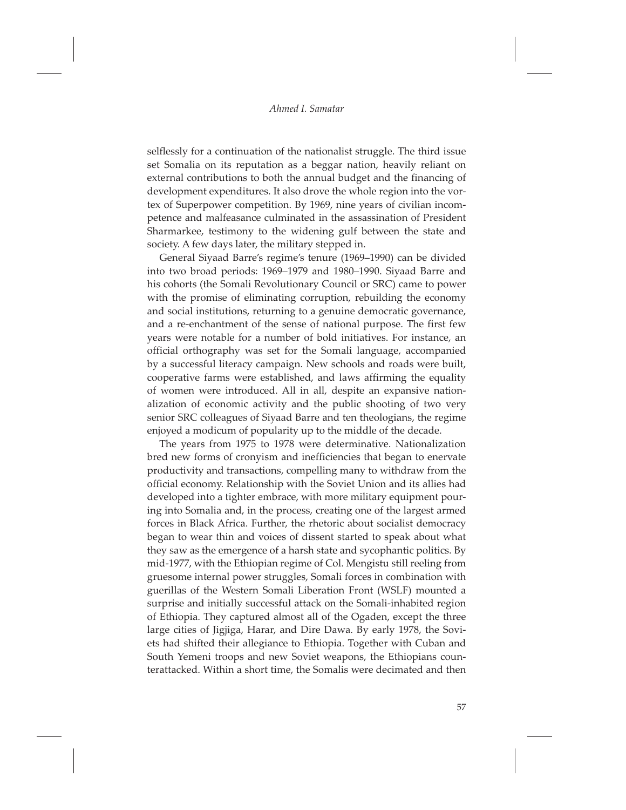selflessly for a continuation of the nationalist struggle. The third issue set Somalia on its reputation as a beggar nation, heavily reliant on external contributions to both the annual budget and the financing of development expenditures. It also drove the whole region into the vortex of Superpower competition. By 1969, nine years of civilian incompetence and malfeasance culminated in the assassination of President Sharmarkee, testimony to the widening gulf between the state and society. A few days later, the military stepped in.

General Siyaad Barre's regime's tenure (1969–1990) can be divided into two broad periods: 1969–1979 and 1980–1990. Siyaad Barre and his cohorts (the Somali Revolutionary Council or SRC) came to power with the promise of eliminating corruption, rebuilding the economy and social institutions, returning to a genuine democratic governance, and a re-enchantment of the sense of national purpose. The first few years were notable for a number of bold initiatives. For instance, an official orthography was set for the Somali language, accompanied by a successful literacy campaign. New schools and roads were built, cooperative farms were established, and laws affirming the equality of women were introduced. All in all, despite an expansive nationalization of economic activity and the public shooting of two very senior SRC colleagues of Siyaad Barre and ten theologians, the regime enjoyed a modicum of popularity up to the middle of the decade.

The years from 1975 to 1978 were determinative. Nationalization bred new forms of cronyism and inefficiencies that began to enervate productivity and transactions, compelling many to withdraw from the official economy. Relationship with the Soviet Union and its allies had developed into a tighter embrace, with more military equipment pouring into Somalia and, in the process, creating one of the largest armed forces in Black Africa. Further, the rhetoric about socialist democracy began to wear thin and voices of dissent started to speak about what they saw as the emergence of a harsh state and sycophantic politics. By mid-1977, with the Ethiopian regime of Col. Mengistu still reeling from gruesome internal power struggles, Somali forces in combination with guerillas of the Western Somali Liberation Front (WSLF) mounted a surprise and initially successful attack on the Somali-inhabited region of Ethiopia. They captured almost all of the Ogaden, except the three large cities of Jigjiga, Harar, and Dire Dawa. By early 1978, the Soviets had shifted their allegiance to Ethiopia. Together with Cuban and South Yemeni troops and new Soviet weapons, the Ethiopians counterattacked. Within a short time, the Somalis were decimated and then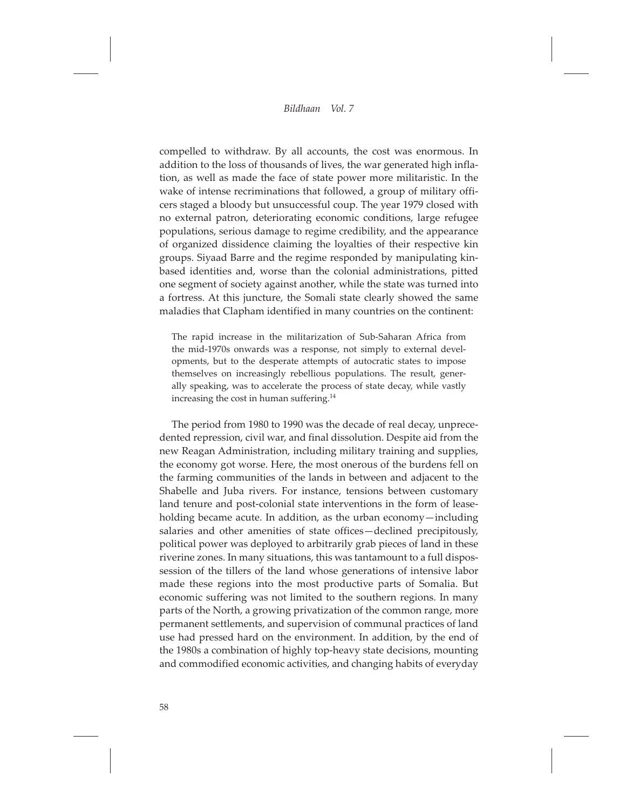compelled to withdraw. By all accounts, the cost was enormous. In addition to the loss of thousands of lives, the war generated high inflation, as well as made the face of state power more militaristic. In the wake of intense recriminations that followed, a group of military officers staged a bloody but unsuccessful coup. The year 1979 closed with no external patron, deteriorating economic conditions, large refugee populations, serious damage to regime credibility, and the appearance of organized dissidence claiming the loyalties of their respective kin groups. Siyaad Barre and the regime responded by manipulating kinbased identities and, worse than the colonial administrations, pitted one segment of society against another, while the state was turned into a fortress. At this juncture, the Somali state clearly showed the same maladies that Clapham identified in many countries on the continent:

The rapid increase in the militarization of Sub-Saharan Africa from the mid-1970s onwards was a response, not simply to external developments, but to the desperate attempts of autocratic states to impose themselves on increasingly rebellious populations. The result, generally speaking, was to accelerate the process of state decay, while vastly increasing the cost in human suffering.<sup>14</sup>

The period from 1980 to 1990 was the decade of real decay, unprecedented repression, civil war, and final dissolution. Despite aid from the new Reagan Administration, including military training and supplies, the economy got worse. Here, the most onerous of the burdens fell on the farming communities of the lands in between and adjacent to the Shabelle and Juba rivers. For instance, tensions between customary land tenure and post-colonial state interventions in the form of leaseholding became acute. In addition, as the urban economy—including salaries and other amenities of state offices—declined precipitously, political power was deployed to arbitrarily grab pieces of land in these riverine zones. In many situations, this was tantamount to a full dispossession of the tillers of the land whose generations of intensive labor made these regions into the most productive parts of Somalia. But economic suffering was not limited to the southern regions. In many parts of the North, a growing privatization of the common range, more permanent settlements, and supervision of communal practices of land use had pressed hard on the environment. In addition, by the end of the 1980s a combination of highly top-heavy state decisions, mounting and commodified economic activities, and changing habits of everyday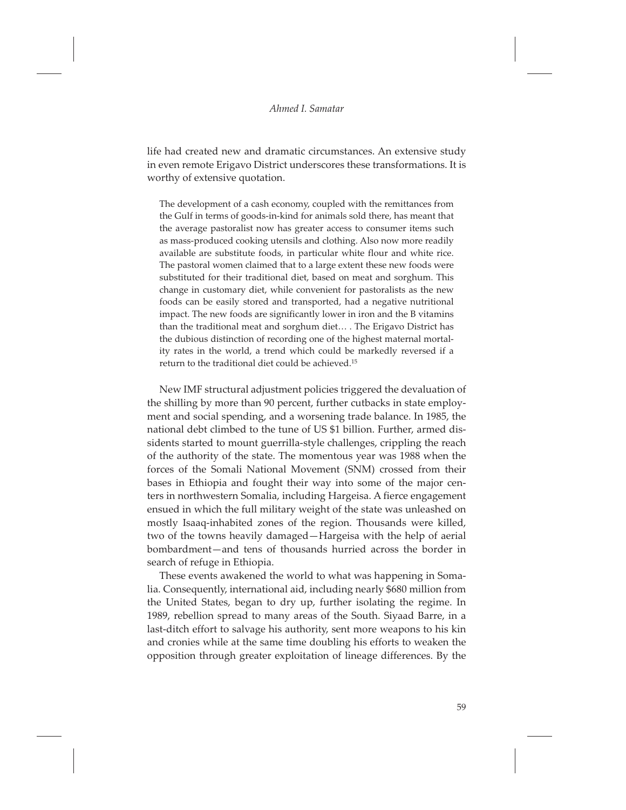life had created new and dramatic circumstances. An extensive study in even remote Erigavo District underscores these transformations. It is worthy of extensive quotation.

The development of a cash economy, coupled with the remittances from the Gulf in terms of goods-in-kind for animals sold there, has meant that the average pastoralist now has greater access to consumer items such as mass-produced cooking utensils and clothing. Also now more readily available are substitute foods, in particular white flour and white rice. The pastoral women claimed that to a large extent these new foods were substituted for their traditional diet, based on meat and sorghum. This change in customary diet, while convenient for pastoralists as the new foods can be easily stored and transported, had a negative nutritional impact. The new foods are significantly lower in iron and the B vitamins than the traditional meat and sorghum diet… . The Erigavo District has the dubious distinction of recording one of the highest maternal mortality rates in the world, a trend which could be markedly reversed if a return to the traditional diet could be achieved.15

New IMF structural adjustment policies triggered the devaluation of the shilling by more than 90 percent, further cutbacks in state employment and social spending, and a worsening trade balance. In 1985, the national debt climbed to the tune of US \$1 billion. Further, armed dissidents started to mount guerrilla-style challenges, crippling the reach of the authority of the state. The momentous year was 1988 when the forces of the Somali National Movement (SNM) crossed from their bases in Ethiopia and fought their way into some of the major centers in northwestern Somalia, including Hargeisa. A fierce engagement ensued in which the full military weight of the state was unleashed on mostly Isaaq-inhabited zones of the region. Thousands were killed, two of the towns heavily damaged—Hargeisa with the help of aerial bombardment—and tens of thousands hurried across the border in search of refuge in Ethiopia.

These events awakened the world to what was happening in Somalia. Consequently, international aid, including nearly \$680 million from the United States, began to dry up, further isolating the regime. In 1989, rebellion spread to many areas of the South. Siyaad Barre, in a last-ditch effort to salvage his authority, sent more weapons to his kin and cronies while at the same time doubling his efforts to weaken the opposition through greater exploitation of lineage differences. By the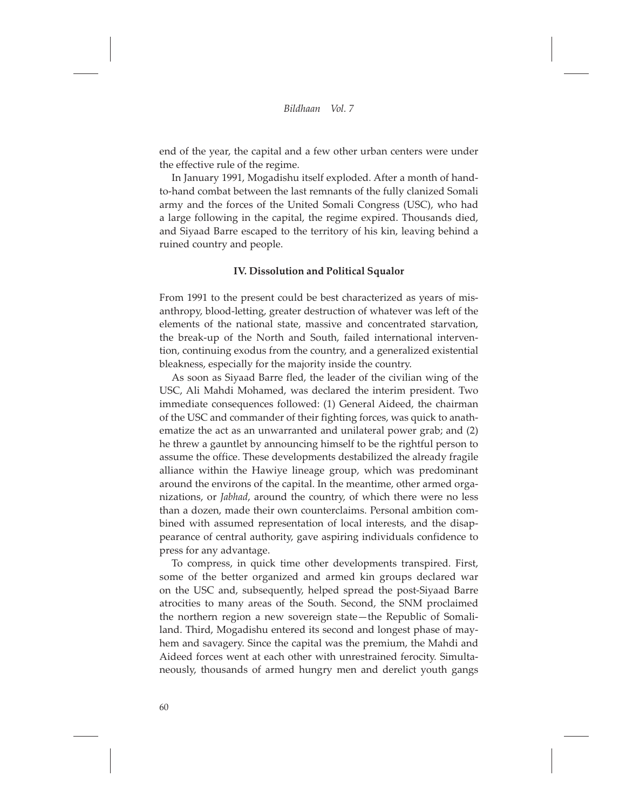end of the year, the capital and a few other urban centers were under the effective rule of the regime.

In January 1991, Mogadishu itself exploded. After a month of handto-hand combat between the last remnants of the fully clanized Somali army and the forces of the United Somali Congress (USC), who had a large following in the capital, the regime expired. Thousands died, and Siyaad Barre escaped to the territory of his kin, leaving behind a ruined country and people.

#### **IV. Dissolution and Political Squalor**

From 1991 to the present could be best characterized as years of misanthropy, blood-letting, greater destruction of whatever was left of the elements of the national state, massive and concentrated starvation, the break-up of the North and South, failed international intervention, continuing exodus from the country, and a generalized existential bleakness, especially for the majority inside the country.

As soon as Siyaad Barre fled, the leader of the civilian wing of the USC, Ali Mahdi Mohamed, was declared the interim president. Two immediate consequences followed: (1) General Aideed, the chairman of the USC and commander of their fighting forces, was quick to anathematize the act as an unwarranted and unilateral power grab; and (2) he threw a gauntlet by announcing himself to be the rightful person to assume the office. These developments destabilized the already fragile alliance within the Hawiye lineage group, which was predominant around the environs of the capital. In the meantime, other armed organizations, or *Jabhad*, around the country, of which there were no less than a dozen, made their own counterclaims. Personal ambition combined with assumed representation of local interests, and the disappearance of central authority, gave aspiring individuals confidence to press for any advantage.

To compress, in quick time other developments transpired. First, some of the better organized and armed kin groups declared war on the USC and, subsequently, helped spread the post-Siyaad Barre atrocities to many areas of the South. Second, the SNM proclaimed the northern region a new sovereign state—the Republic of Somaliland. Third, Mogadishu entered its second and longest phase of mayhem and savagery. Since the capital was the premium, the Mahdi and Aideed forces went at each other with unrestrained ferocity. Simultaneously, thousands of armed hungry men and derelict youth gangs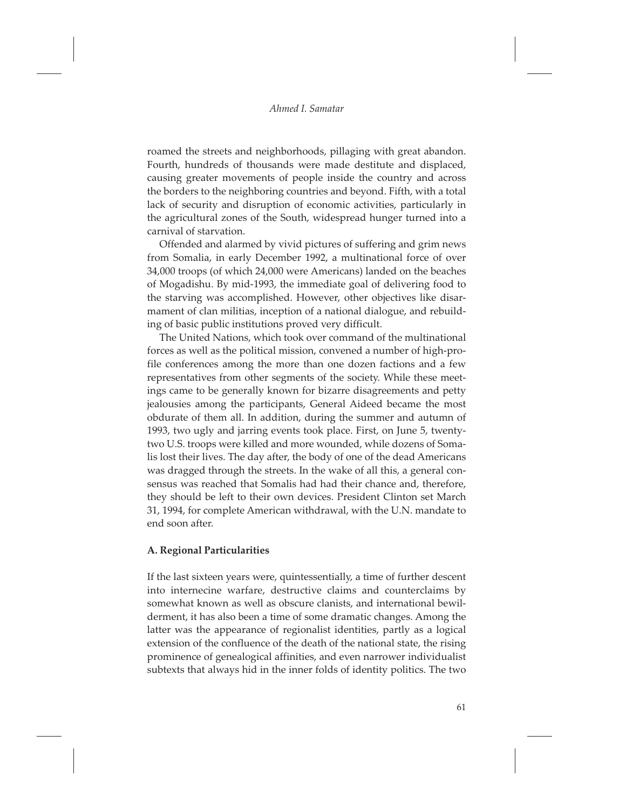roamed the streets and neighborhoods, pillaging with great abandon. Fourth, hundreds of thousands were made destitute and displaced, causing greater movements of people inside the country and across the borders to the neighboring countries and beyond. Fifth, with a total lack of security and disruption of economic activities, particularly in the agricultural zones of the South, widespread hunger turned into a carnival of starvation.

Offended and alarmed by vivid pictures of suffering and grim news from Somalia, in early December 1992, a multinational force of over 34,000 troops (of which 24,000 were Americans) landed on the beaches of Mogadishu. By mid-1993, the immediate goal of delivering food to the starving was accomplished. However, other objectives like disarmament of clan militias, inception of a national dialogue, and rebuilding of basic public institutions proved very difficult.

The United Nations, which took over command of the multinational forces as well as the political mission, convened a number of high-profile conferences among the more than one dozen factions and a few representatives from other segments of the society. While these meetings came to be generally known for bizarre disagreements and petty jealousies among the participants, General Aideed became the most obdurate of them all. In addition, during the summer and autumn of 1993, two ugly and jarring events took place. First, on June 5, twentytwo U.S. troops were killed and more wounded, while dozens of Somalis lost their lives. The day after, the body of one of the dead Americans was dragged through the streets. In the wake of all this, a general consensus was reached that Somalis had had their chance and, therefore, they should be left to their own devices. President Clinton set March 31, 1994, for complete American withdrawal, with the U.N. mandate to end soon after.

### **A. Regional Particularities**

If the last sixteen years were, quintessentially, a time of further descent into internecine warfare, destructive claims and counterclaims by somewhat known as well as obscure clanists, and international bewilderment, it has also been a time of some dramatic changes. Among the latter was the appearance of regionalist identities, partly as a logical extension of the confluence of the death of the national state, the rising prominence of genealogical affinities, and even narrower individualist subtexts that always hid in the inner folds of identity politics. The two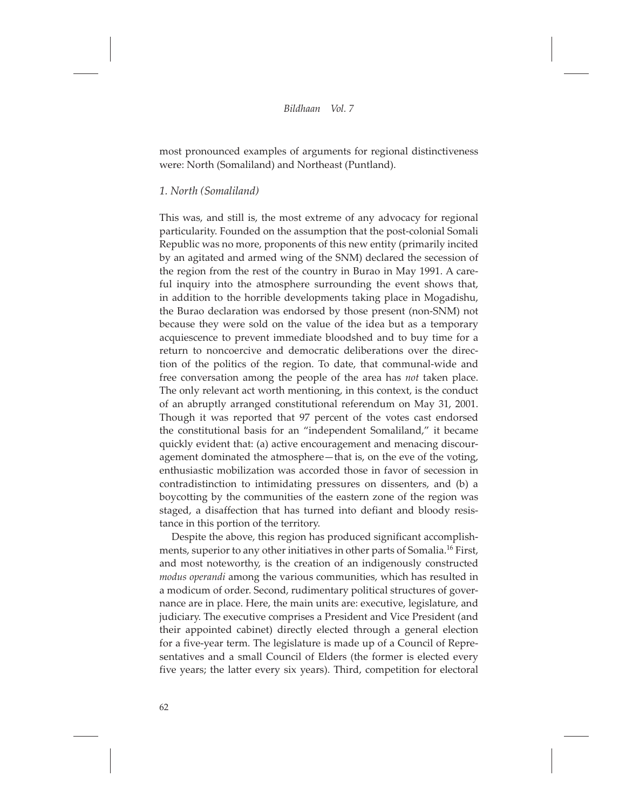most pronounced examples of arguments for regional distinctiveness were: North (Somaliland) and Northeast (Puntland).

### *1. North (Somaliland)*

This was, and still is, the most extreme of any advocacy for regional particularity. Founded on the assumption that the post-colonial Somali Republic was no more, proponents of this new entity (primarily incited by an agitated and armed wing of the SNM) declared the secession of the region from the rest of the country in Burao in May 1991. A careful inquiry into the atmosphere surrounding the event shows that, in addition to the horrible developments taking place in Mogadishu, the Burao declaration was endorsed by those present (non-SNM) not because they were sold on the value of the idea but as a temporary acquiescence to prevent immediate bloodshed and to buy time for a return to noncoercive and democratic deliberations over the direction of the politics of the region. To date, that communal-wide and free conversation among the people of the area has *not* taken place. The only relevant act worth mentioning, in this context, is the conduct of an abruptly arranged constitutional referendum on May 31, 2001. Though it was reported that 97 percent of the votes cast endorsed the constitutional basis for an "independent Somaliland," it became quickly evident that: (a) active encouragement and menacing discouragement dominated the atmosphere—that is, on the eve of the voting, enthusiastic mobilization was accorded those in favor of secession in contradistinction to intimidating pressures on dissenters, and (b) a boycotting by the communities of the eastern zone of the region was staged, a disaffection that has turned into defiant and bloody resistance in this portion of the territory.

Despite the above, this region has produced significant accomplishments, superior to any other initiatives in other parts of Somalia.16 First, and most noteworthy, is the creation of an indigenously constructed *modus operandi* among the various communities, which has resulted in a modicum of order. Second, rudimentary political structures of governance are in place. Here, the main units are: executive, legislature, and judiciary. The executive comprises a President and Vice President (and their appointed cabinet) directly elected through a general election for a five-year term. The legislature is made up of a Council of Representatives and a small Council of Elders (the former is elected every five years; the latter every six years). Third, competition for electoral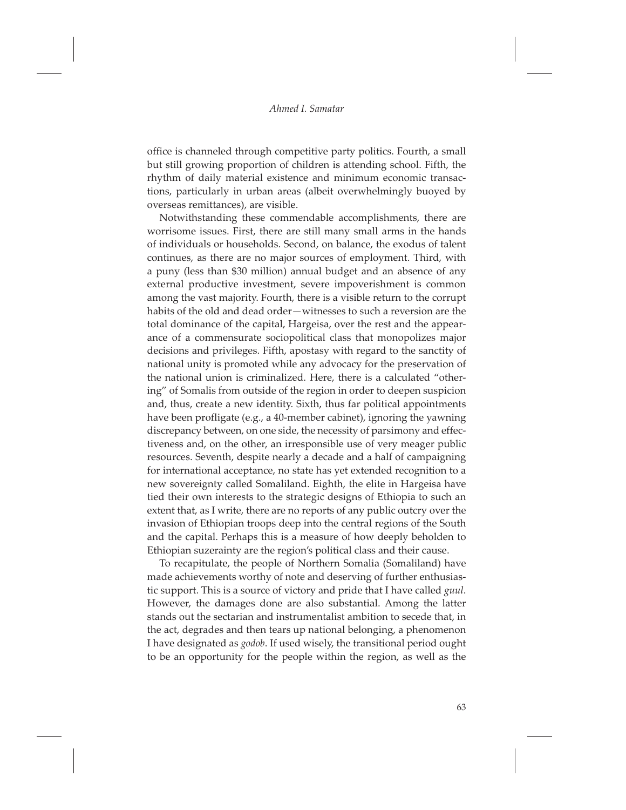office is channeled through competitive party politics. Fourth, a small but still growing proportion of children is attending school. Fifth, the rhythm of daily material existence and minimum economic transactions, particularly in urban areas (albeit overwhelmingly buoyed by overseas remittances), are visible.

Notwithstanding these commendable accomplishments, there are worrisome issues. First, there are still many small arms in the hands of individuals or households. Second, on balance, the exodus of talent continues, as there are no major sources of employment. Third, with a puny (less than \$30 million) annual budget and an absence of any external productive investment, severe impoverishment is common among the vast majority. Fourth, there is a visible return to the corrupt habits of the old and dead order—witnesses to such a reversion are the total dominance of the capital, Hargeisa, over the rest and the appearance of a commensurate sociopolitical class that monopolizes major decisions and privileges. Fifth, apostasy with regard to the sanctity of national unity is promoted while any advocacy for the preservation of the national union is criminalized. Here, there is a calculated "othering" of Somalis from outside of the region in order to deepen suspicion and, thus, create a new identity. Sixth, thus far political appointments have been profligate (e.g., a 40-member cabinet), ignoring the yawning discrepancy between, on one side, the necessity of parsimony and effectiveness and, on the other, an irresponsible use of very meager public resources. Seventh, despite nearly a decade and a half of campaigning for international acceptance, no state has yet extended recognition to a new sovereignty called Somaliland. Eighth, the elite in Hargeisa have tied their own interests to the strategic designs of Ethiopia to such an extent that, as I write, there are no reports of any public outcry over the invasion of Ethiopian troops deep into the central regions of the South and the capital. Perhaps this is a measure of how deeply beholden to Ethiopian suzerainty are the region's political class and their cause.

To recapitulate, the people of Northern Somalia (Somaliland) have made achievements worthy of note and deserving of further enthusiastic support. This is a source of victory and pride that I have called *guul*. However, the damages done are also substantial. Among the latter stands out the sectarian and instrumentalist ambition to secede that, in the act, degrades and then tears up national belonging, a phenomenon I have designated as *godob*. If used wisely, the transitional period ought to be an opportunity for the people within the region, as well as the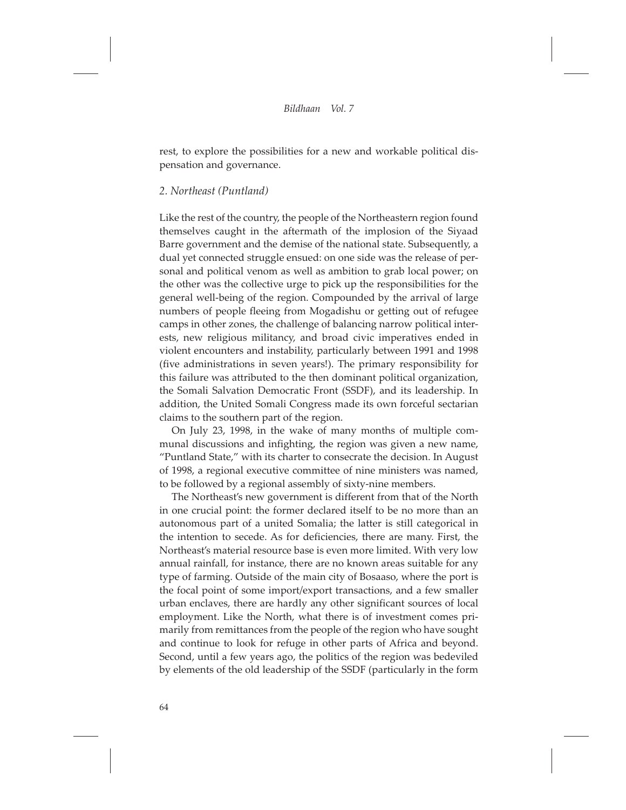rest, to explore the possibilities for a new and workable political dispensation and governance.

### *2. Northeast (Puntland)*

Like the rest of the country, the people of the Northeastern region found themselves caught in the aftermath of the implosion of the Siyaad Barre government and the demise of the national state. Subsequently, a dual yet connected struggle ensued: on one side was the release of personal and political venom as well as ambition to grab local power; on the other was the collective urge to pick up the responsibilities for the general well-being of the region. Compounded by the arrival of large numbers of people fleeing from Mogadishu or getting out of refugee camps in other zones, the challenge of balancing narrow political interests, new religious militancy, and broad civic imperatives ended in violent encounters and instability, particularly between 1991 and 1998 (five administrations in seven years!). The primary responsibility for this failure was attributed to the then dominant political organization, the Somali Salvation Democratic Front (SSDF), and its leadership. In addition, the United Somali Congress made its own forceful sectarian claims to the southern part of the region.

On July 23, 1998, in the wake of many months of multiple communal discussions and infighting, the region was given a new name, "Puntland State," with its charter to consecrate the decision. In August of 1998, a regional executive committee of nine ministers was named, to be followed by a regional assembly of sixty-nine members.

The Northeast's new government is different from that of the North in one crucial point: the former declared itself to be no more than an autonomous part of a united Somalia; the latter is still categorical in the intention to secede. As for deficiencies, there are many. First, the Northeast's material resource base is even more limited. With very low annual rainfall, for instance, there are no known areas suitable for any type of farming. Outside of the main city of Bosaaso, where the port is the focal point of some import/export transactions, and a few smaller urban enclaves, there are hardly any other significant sources of local employment. Like the North, what there is of investment comes primarily from remittances from the people of the region who have sought and continue to look for refuge in other parts of Africa and beyond. Second, until a few years ago, the politics of the region was bedeviled by elements of the old leadership of the SSDF (particularly in the form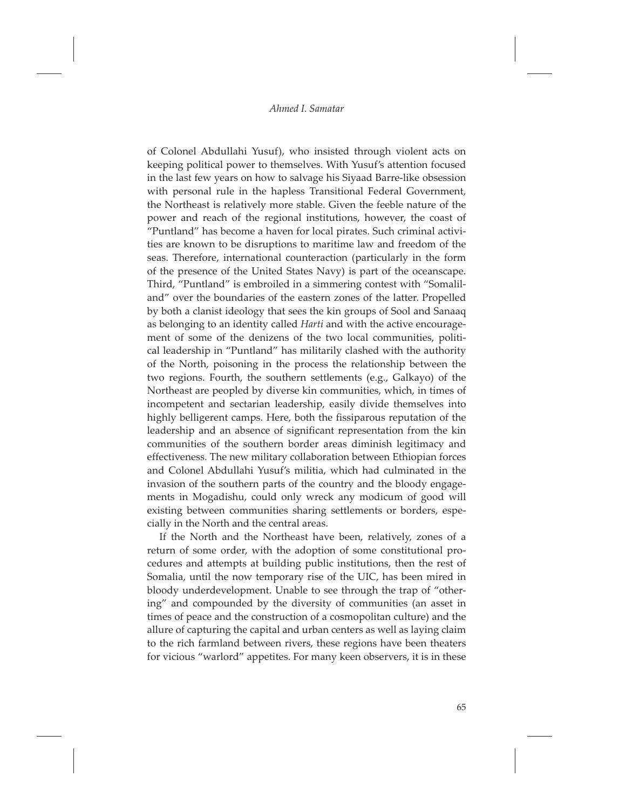of Colonel Abdullahi Yusuf), who insisted through violent acts on keeping political power to themselves. With Yusuf's attention focused in the last few years on how to salvage his Siyaad Barre-like obsession with personal rule in the hapless Transitional Federal Government, the Northeast is relatively more stable. Given the feeble nature of the power and reach of the regional institutions, however, the coast of "Puntland" has become a haven for local pirates. Such criminal activities are known to be disruptions to maritime law and freedom of the seas. Therefore, international counteraction (particularly in the form of the presence of the United States Navy) is part of the oceanscape. Third, "Puntland" is embroiled in a simmering contest with "Somaliland" over the boundaries of the eastern zones of the latter. Propelled by both a clanist ideology that sees the kin groups of Sool and Sanaaq as belonging to an identity called *Harti* and with the active encouragement of some of the denizens of the two local communities, political leadership in "Puntland" has militarily clashed with the authority of the North, poisoning in the process the relationship between the two regions. Fourth, the southern settlements (e.g., Galkayo) of the Northeast are peopled by diverse kin communities, which, in times of incompetent and sectarian leadership, easily divide themselves into highly belligerent camps. Here, both the fissiparous reputation of the leadership and an absence of significant representation from the kin communities of the southern border areas diminish legitimacy and effectiveness. The new military collaboration between Ethiopian forces and Colonel Abdullahi Yusuf's militia, which had culminated in the invasion of the southern parts of the country and the bloody engagements in Mogadishu, could only wreck any modicum of good will existing between communities sharing settlements or borders, especially in the North and the central areas.

If the North and the Northeast have been, relatively, zones of a return of some order, with the adoption of some constitutional procedures and attempts at building public institutions, then the rest of Somalia, until the now temporary rise of the UIC, has been mired in bloody underdevelopment. Unable to see through the trap of "othering" and compounded by the diversity of communities (an asset in times of peace and the construction of a cosmopolitan culture) and the allure of capturing the capital and urban centers as well as laying claim to the rich farmland between rivers, these regions have been theaters for vicious "warlord" appetites. For many keen observers, it is in these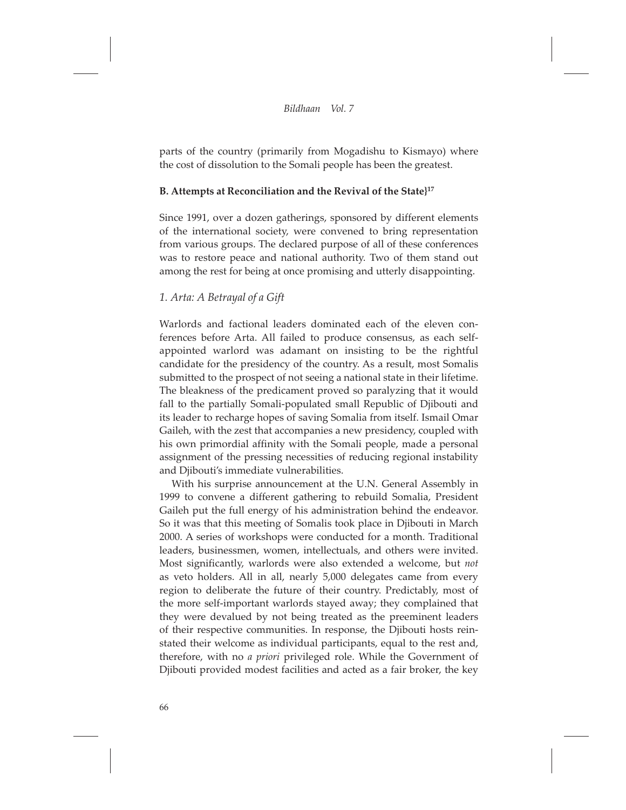parts of the country (primarily from Mogadishu to Kismayo) where the cost of dissolution to the Somali people has been the greatest.

## **B. Attempts at Reconciliation and the Revival of the State}17**

Since 1991, over a dozen gatherings, sponsored by different elements of the international society, were convened to bring representation from various groups. The declared purpose of all of these conferences was to restore peace and national authority. Two of them stand out among the rest for being at once promising and utterly disappointing.

## *1. Arta: A Betrayal of a Gift*

Warlords and factional leaders dominated each of the eleven conferences before Arta. All failed to produce consensus, as each selfappointed warlord was adamant on insisting to be the rightful candidate for the presidency of the country. As a result, most Somalis submitted to the prospect of not seeing a national state in their lifetime. The bleakness of the predicament proved so paralyzing that it would fall to the partially Somali-populated small Republic of Djibouti and its leader to recharge hopes of saving Somalia from itself. Ismail Omar Gaileh, with the zest that accompanies a new presidency, coupled with his own primordial affinity with the Somali people, made a personal assignment of the pressing necessities of reducing regional instability and Djibouti's immediate vulnerabilities.

With his surprise announcement at the U.N. General Assembly in 1999 to convene a different gathering to rebuild Somalia, President Gaileh put the full energy of his administration behind the endeavor. So it was that this meeting of Somalis took place in Djibouti in March 2000. A series of workshops were conducted for a month. Traditional leaders, businessmen, women, intellectuals, and others were invited. Most significantly, warlords were also extended a welcome, but *not* as veto holders. All in all, nearly 5,000 delegates came from every region to deliberate the future of their country. Predictably, most of the more self-important warlords stayed away; they complained that they were devalued by not being treated as the preeminent leaders of their respective communities. In response, the Djibouti hosts reinstated their welcome as individual participants, equal to the rest and, therefore, with no *a priori* privileged role. While the Government of Djibouti provided modest facilities and acted as a fair broker, the key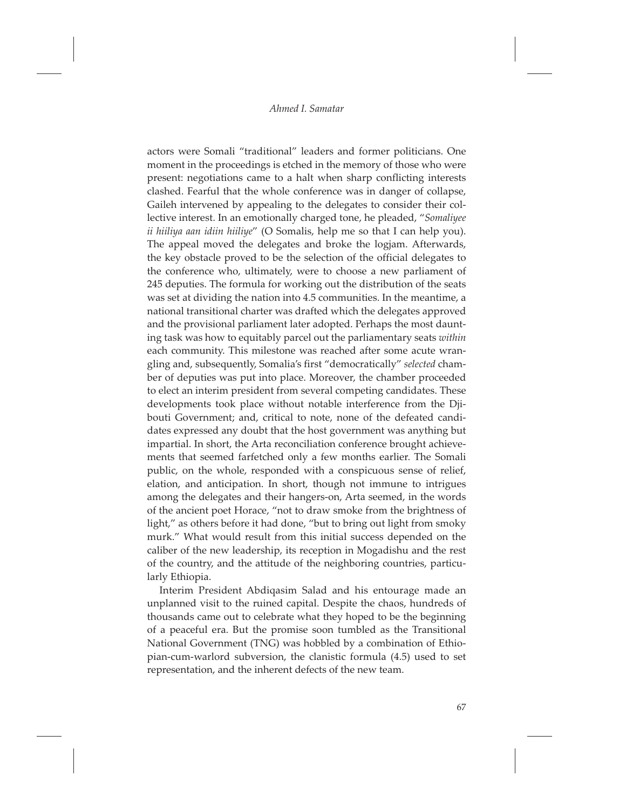actors were Somali "traditional" leaders and former politicians. One moment in the proceedings is etched in the memory of those who were present: negotiations came to a halt when sharp conflicting interests clashed. Fearful that the whole conference was in danger of collapse, Gaileh intervened by appealing to the delegates to consider their collective interest. In an emotionally charged tone, he pleaded, "*Somaliyee ii hiiliya aan idiin hiiliye*" (O Somalis, help me so that I can help you). The appeal moved the delegates and broke the logjam. Afterwards, the key obstacle proved to be the selection of the official delegates to the conference who, ultimately, were to choose a new parliament of 245 deputies. The formula for working out the distribution of the seats was set at dividing the nation into 4.5 communities. In the meantime, a national transitional charter was drafted which the delegates approved and the provisional parliament later adopted. Perhaps the most daunting task was how to equitably parcel out the parliamentary seats *within* each community. This milestone was reached after some acute wrangling and, subsequently, Somalia's first "democratically" *selected* chamber of deputies was put into place. Moreover, the chamber proceeded to elect an interim president from several competing candidates. These developments took place without notable interference from the Djibouti Government; and, critical to note, none of the defeated candidates expressed any doubt that the host government was anything but impartial. In short, the Arta reconciliation conference brought achievements that seemed farfetched only a few months earlier. The Somali public, on the whole, responded with a conspicuous sense of relief, elation, and anticipation. In short, though not immune to intrigues among the delegates and their hangers-on, Arta seemed, in the words of the ancient poet Horace, "not to draw smoke from the brightness of light," as others before it had done, "but to bring out light from smoky murk." What would result from this initial success depended on the caliber of the new leadership, its reception in Mogadishu and the rest of the country, and the attitude of the neighboring countries, particularly Ethiopia.

Interim President Abdiqasim Salad and his entourage made an unplanned visit to the ruined capital. Despite the chaos, hundreds of thousands came out to celebrate what they hoped to be the beginning of a peaceful era. But the promise soon tumbled as the Transitional National Government (TNG) was hobbled by a combination of Ethiopian-cum-warlord subversion, the clanistic formula (4.5) used to set representation, and the inherent defects of the new team.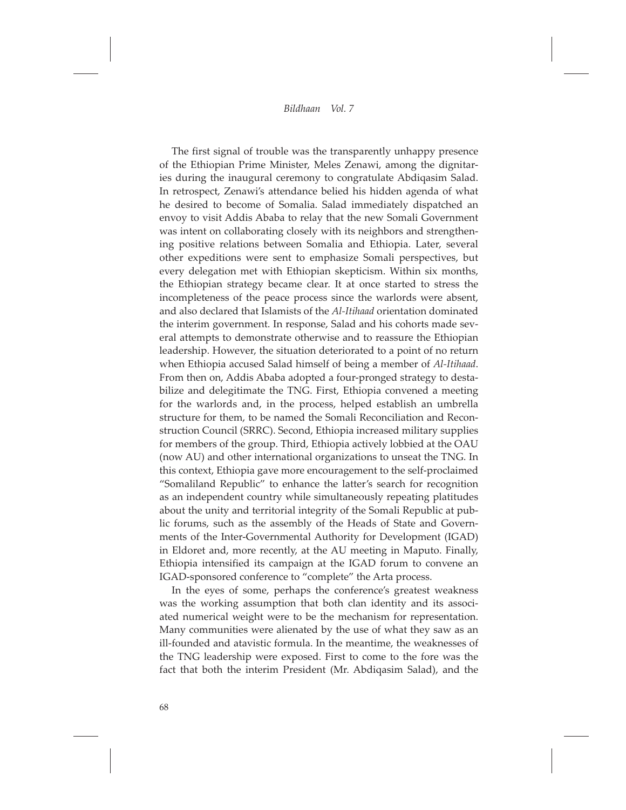The first signal of trouble was the transparently unhappy presence of the Ethiopian Prime Minister, Meles Zenawi, among the dignitaries during the inaugural ceremony to congratulate Abdiqasim Salad. In retrospect, Zenawi's attendance belied his hidden agenda of what he desired to become of Somalia. Salad immediately dispatched an envoy to visit Addis Ababa to relay that the new Somali Government was intent on collaborating closely with its neighbors and strengthening positive relations between Somalia and Ethiopia. Later, several other expeditions were sent to emphasize Somali perspectives, but every delegation met with Ethiopian skepticism. Within six months, the Ethiopian strategy became clear. It at once started to stress the incompleteness of the peace process since the warlords were absent, and also declared that Islamists of the *Al-Itihaad* orientation dominated the interim government. In response, Salad and his cohorts made several attempts to demonstrate otherwise and to reassure the Ethiopian leadership. However, the situation deteriorated to a point of no return when Ethiopia accused Salad himself of being a member of *Al-Itihaad*. From then on, Addis Ababa adopted a four-pronged strategy to destabilize and delegitimate the TNG. First, Ethiopia convened a meeting for the warlords and, in the process, helped establish an umbrella structure for them, to be named the Somali Reconciliation and Reconstruction Council (SRRC). Second, Ethiopia increased military supplies for members of the group. Third, Ethiopia actively lobbied at the OAU (now AU) and other international organizations to unseat the TNG. In this context, Ethiopia gave more encouragement to the self-proclaimed "Somaliland Republic" to enhance the latter's search for recognition as an independent country while simultaneously repeating platitudes about the unity and territorial integrity of the Somali Republic at public forums, such as the assembly of the Heads of State and Governments of the Inter-Governmental Authority for Development (IGAD) in Eldoret and, more recently, at the AU meeting in Maputo. Finally, Ethiopia intensified its campaign at the IGAD forum to convene an IGAD-sponsored conference to "complete" the Arta process.

In the eyes of some, perhaps the conference's greatest weakness was the working assumption that both clan identity and its associated numerical weight were to be the mechanism for representation. Many communities were alienated by the use of what they saw as an ill-founded and atavistic formula. In the meantime, the weaknesses of the TNG leadership were exposed. First to come to the fore was the fact that both the interim President (Mr. Abdiqasim Salad), and the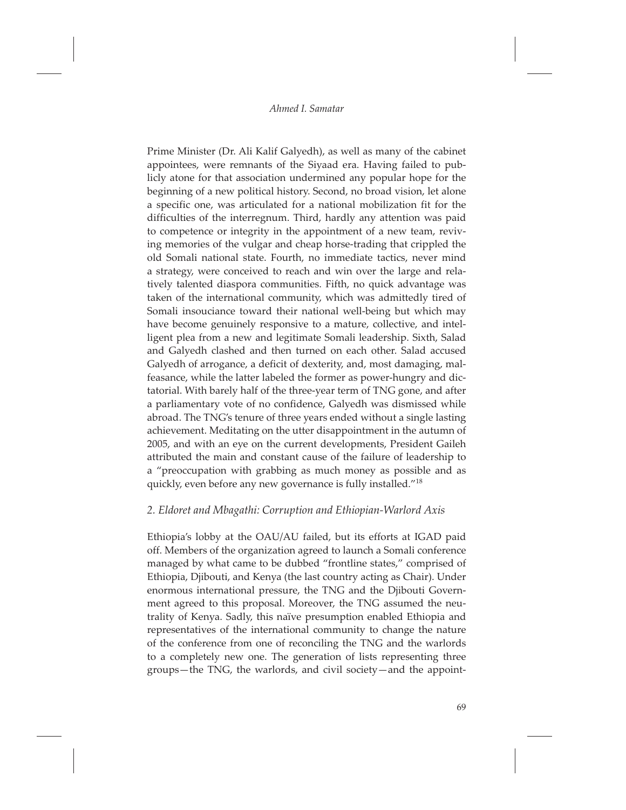Prime Minister (Dr. Ali Kalif Galyedh), as well as many of the cabinet appointees, were remnants of the Siyaad era. Having failed to publicly atone for that association undermined any popular hope for the beginning of a new political history. Second, no broad vision, let alone a specific one, was articulated for a national mobilization fit for the difficulties of the interregnum. Third, hardly any attention was paid to competence or integrity in the appointment of a new team, reviving memories of the vulgar and cheap horse-trading that crippled the old Somali national state. Fourth, no immediate tactics, never mind a strategy, were conceived to reach and win over the large and relatively talented diaspora communities. Fifth, no quick advantage was taken of the international community, which was admittedly tired of Somali insouciance toward their national well-being but which may have become genuinely responsive to a mature, collective, and intelligent plea from a new and legitimate Somali leadership. Sixth, Salad and Galyedh clashed and then turned on each other. Salad accused Galyedh of arrogance, a deficit of dexterity, and, most damaging, malfeasance, while the latter labeled the former as power-hungry and dictatorial. With barely half of the three-year term of TNG gone, and after a parliamentary vote of no confidence, Galyedh was dismissed while abroad. The TNG's tenure of three years ended without a single lasting achievement. Meditating on the utter disappointment in the autumn of 2005, and with an eye on the current developments, President Gaileh attributed the main and constant cause of the failure of leadership to a "preoccupation with grabbing as much money as possible and as quickly, even before any new governance is fully installed."18

## *2. Eldoret and Mbagathi: Corruption and Ethiopian-Warlord Axis*

Ethiopia's lobby at the OAU/AU failed, but its efforts at IGAD paid off. Members of the organization agreed to launch a Somali conference managed by what came to be dubbed "frontline states," comprised of Ethiopia, Djibouti, and Kenya (the last country acting as Chair). Under enormous international pressure, the TNG and the Djibouti Government agreed to this proposal. Moreover, the TNG assumed the neutrality of Kenya. Sadly, this naïve presumption enabled Ethiopia and representatives of the international community to change the nature of the conference from one of reconciling the TNG and the warlords to a completely new one. The generation of lists representing three groups—the TNG, the warlords, and civil society—and the appoint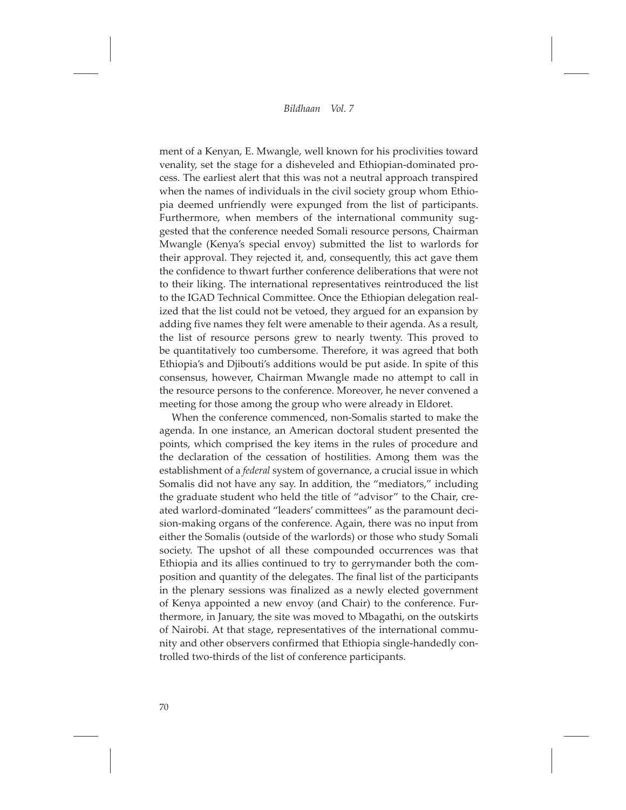ment of a Kenyan, E. Mwangle, well known for his proclivities toward venality, set the stage for a disheveled and Ethiopian-dominated process. The earliest alert that this was not a neutral approach transpired when the names of individuals in the civil society group whom Ethiopia deemed unfriendly were expunged from the list of participants. Furthermore, when members of the international community suggested that the conference needed Somali resource persons, Chairman Mwangle (Kenya's special envoy) submitted the list to warlords for their approval. They rejected it, and, consequently, this act gave them the confidence to thwart further conference deliberations that were not to their liking. The international representatives reintroduced the list to the IGAD Technical Committee. Once the Ethiopian delegation realized that the list could not be vetoed, they argued for an expansion by adding five names they felt were amenable to their agenda. As a result, the list of resource persons grew to nearly twenty. This proved to be quantitatively too cumbersome. Therefore, it was agreed that both Ethiopia's and Djibouti's additions would be put aside. In spite of this consensus, however, Chairman Mwangle made no attempt to call in the resource persons to the conference. Moreover, he never convened a meeting for those among the group who were already in Eldoret.

When the conference commenced, non-Somalis started to make the agenda. In one instance, an American doctoral student presented the points, which comprised the key items in the rules of procedure and the declaration of the cessation of hostilities. Among them was the establishment of a *federal* system of governance, a crucial issue in which Somalis did not have any say. In addition, the "mediators," including the graduate student who held the title of "advisor" to the Chair, created warlord-dominated "leaders' committees" as the paramount decision-making organs of the conference. Again, there was no input from either the Somalis (outside of the warlords) or those who study Somali society. The upshot of all these compounded occurrences was that Ethiopia and its allies continued to try to gerrymander both the composition and quantity of the delegates. The final list of the participants in the plenary sessions was finalized as a newly elected government of Kenya appointed a new envoy (and Chair) to the conference. Furthermore, in January, the site was moved to Mbagathi, on the outskirts of Nairobi. At that stage, representatives of the international community and other observers confirmed that Ethiopia single-handedly controlled two-thirds of the list of conference participants.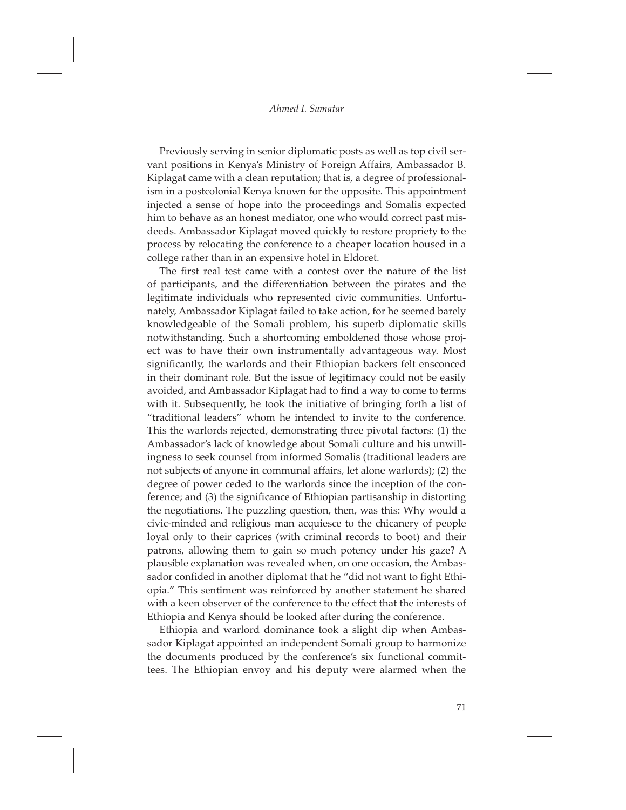Previously serving in senior diplomatic posts as well as top civil servant positions in Kenya's Ministry of Foreign Affairs, Ambassador B. Kiplagat came with a clean reputation; that is, a degree of professionalism in a postcolonial Kenya known for the opposite. This appointment injected a sense of hope into the proceedings and Somalis expected him to behave as an honest mediator, one who would correct past misdeeds. Ambassador Kiplagat moved quickly to restore propriety to the process by relocating the conference to a cheaper location housed in a college rather than in an expensive hotel in Eldoret.

The first real test came with a contest over the nature of the list of participants, and the differentiation between the pirates and the legitimate individuals who represented civic communities. Unfortunately, Ambassador Kiplagat failed to take action, for he seemed barely knowledgeable of the Somali problem, his superb diplomatic skills notwithstanding. Such a shortcoming emboldened those whose project was to have their own instrumentally advantageous way. Most significantly, the warlords and their Ethiopian backers felt ensconced in their dominant role. But the issue of legitimacy could not be easily avoided, and Ambassador Kiplagat had to find a way to come to terms with it. Subsequently, he took the initiative of bringing forth a list of "traditional leaders" whom he intended to invite to the conference. This the warlords rejected, demonstrating three pivotal factors: (1) the Ambassador's lack of knowledge about Somali culture and his unwillingness to seek counsel from informed Somalis (traditional leaders are not subjects of anyone in communal affairs, let alone warlords); (2) the degree of power ceded to the warlords since the inception of the conference; and (3) the significance of Ethiopian partisanship in distorting the negotiations. The puzzling question, then, was this: Why would a civic-minded and religious man acquiesce to the chicanery of people loyal only to their caprices (with criminal records to boot) and their patrons, allowing them to gain so much potency under his gaze? A plausible explanation was revealed when, on one occasion, the Ambassador confided in another diplomat that he "did not want to fight Ethiopia." This sentiment was reinforced by another statement he shared with a keen observer of the conference to the effect that the interests of Ethiopia and Kenya should be looked after during the conference.

Ethiopia and warlord dominance took a slight dip when Ambassador Kiplagat appointed an independent Somali group to harmonize the documents produced by the conference's six functional committees. The Ethiopian envoy and his deputy were alarmed when the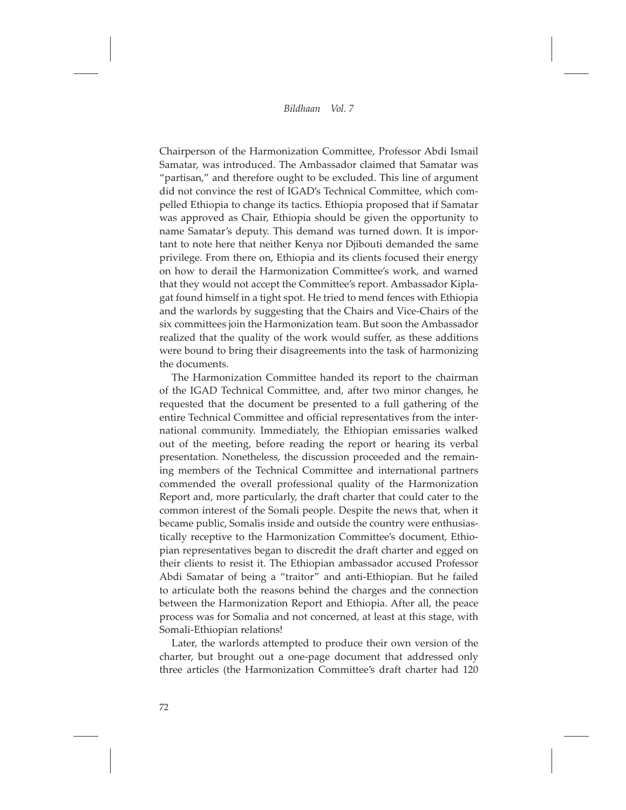Chairperson of the Harmonization Committee, Professor Abdi Ismail Samatar, was introduced. The Ambassador claimed that Samatar was "partisan," and therefore ought to be excluded. This line of argument did not convince the rest of IGAD's Technical Committee, which compelled Ethiopia to change its tactics. Ethiopia proposed that if Samatar was approved as Chair, Ethiopia should be given the opportunity to name Samatar's deputy. This demand was turned down. It is important to note here that neither Kenya nor Djibouti demanded the same privilege. From there on, Ethiopia and its clients focused their energy on how to derail the Harmonization Committee's work, and warned that they would not accept the Committee's report. Ambassador Kiplagat found himself in a tight spot. He tried to mend fences with Ethiopia and the warlords by suggesting that the Chairs and Vice-Chairs of the six committees join the Harmonization team. But soon the Ambassador realized that the quality of the work would suffer, as these additions were bound to bring their disagreements into the task of harmonizing the documents.

The Harmonization Committee handed its report to the chairman of the IGAD Technical Committee, and, after two minor changes, he requested that the document be presented to a full gathering of the entire Technical Committee and official representatives from the international community. Immediately, the Ethiopian emissaries walked out of the meeting, before reading the report or hearing its verbal presentation. Nonetheless, the discussion proceeded and the remaining members of the Technical Committee and international partners commended the overall professional quality of the Harmonization Report and, more particularly, the draft charter that could cater to the common interest of the Somali people. Despite the news that, when it became public, Somalis inside and outside the country were enthusiastically receptive to the Harmonization Committee's document, Ethiopian representatives began to discredit the draft charter and egged on their clients to resist it. The Ethiopian ambassador accused Professor Abdi Samatar of being a "traitor" and anti-Ethiopian. But he failed to articulate both the reasons behind the charges and the connection between the Harmonization Report and Ethiopia. After all, the peace process was for Somalia and not concerned, at least at this stage, with Somali-Ethiopian relations!

Later, the warlords attempted to produce their own version of the charter, but brought out a one-page document that addressed only three articles (the Harmonization Committee's draft charter had 120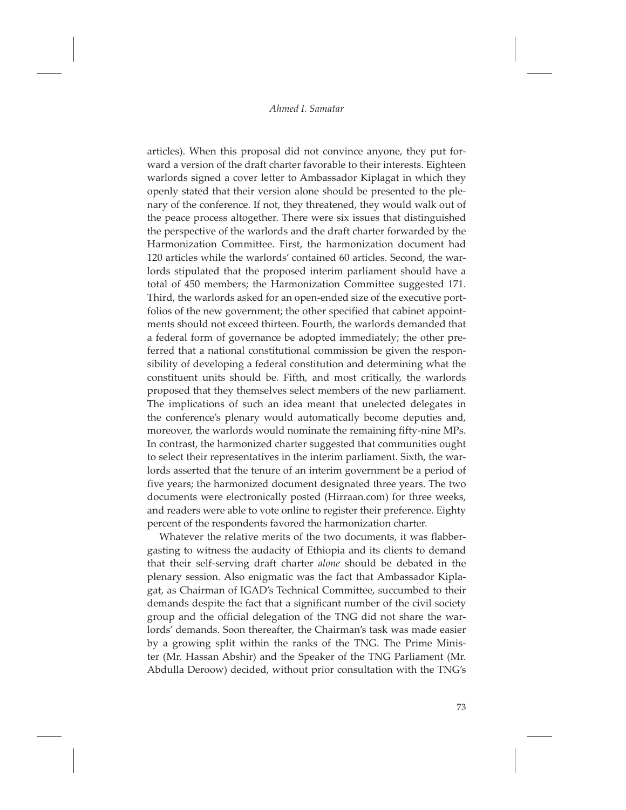articles). When this proposal did not convince anyone, they put forward a version of the draft charter favorable to their interests. Eighteen warlords signed a cover letter to Ambassador Kiplagat in which they openly stated that their version alone should be presented to the plenary of the conference. If not, they threatened, they would walk out of the peace process altogether. There were six issues that distinguished the perspective of the warlords and the draft charter forwarded by the Harmonization Committee. First, the harmonization document had 120 articles while the warlords' contained 60 articles. Second, the warlords stipulated that the proposed interim parliament should have a total of 450 members; the Harmonization Committee suggested 171. Third, the warlords asked for an open-ended size of the executive portfolios of the new government; the other specified that cabinet appointments should not exceed thirteen. Fourth, the warlords demanded that a federal form of governance be adopted immediately; the other preferred that a national constitutional commission be given the responsibility of developing a federal constitution and determining what the constituent units should be. Fifth, and most critically, the warlords proposed that they themselves select members of the new parliament. The implications of such an idea meant that unelected delegates in the conference's plenary would automatically become deputies and, moreover, the warlords would nominate the remaining fifty-nine MPs. In contrast, the harmonized charter suggested that communities ought to select their representatives in the interim parliament. Sixth, the warlords asserted that the tenure of an interim government be a period of five years; the harmonized document designated three years. The two documents were electronically posted (Hirraan.com) for three weeks, and readers were able to vote online to register their preference. Eighty percent of the respondents favored the harmonization charter.

Whatever the relative merits of the two documents, it was flabbergasting to witness the audacity of Ethiopia and its clients to demand that their self-serving draft charter *alone* should be debated in the plenary session. Also enigmatic was the fact that Ambassador Kiplagat, as Chairman of IGAD's Technical Committee, succumbed to their demands despite the fact that a significant number of the civil society group and the official delegation of the TNG did not share the warlords' demands. Soon thereafter, the Chairman's task was made easier by a growing split within the ranks of the TNG. The Prime Minister (Mr. Hassan Abshir) and the Speaker of the TNG Parliament (Mr. Abdulla Deroow) decided, without prior consultation with the TNG's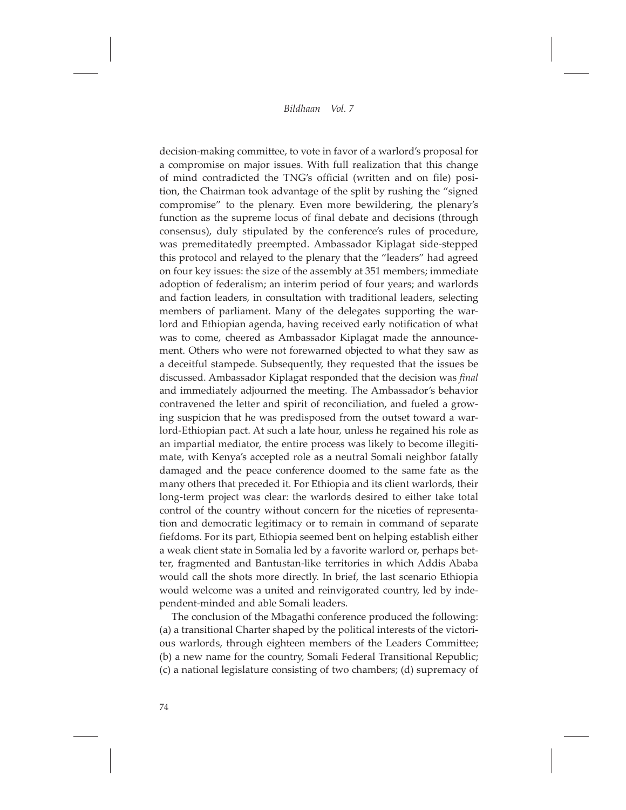decision-making committee, to vote in favor of a warlord's proposal for a compromise on major issues. With full realization that this change of mind contradicted the TNG's official (written and on file) position, the Chairman took advantage of the split by rushing the "signed compromise" to the plenary. Even more bewildering, the plenary's function as the supreme locus of final debate and decisions (through consensus), duly stipulated by the conference's rules of procedure, was premeditatedly preempted. Ambassador Kiplagat side-stepped this protocol and relayed to the plenary that the "leaders" had agreed on four key issues: the size of the assembly at 351 members; immediate adoption of federalism; an interim period of four years; and warlords and faction leaders, in consultation with traditional leaders, selecting members of parliament. Many of the delegates supporting the warlord and Ethiopian agenda, having received early notification of what was to come, cheered as Ambassador Kiplagat made the announcement. Others who were not forewarned objected to what they saw as a deceitful stampede. Subsequently, they requested that the issues be discussed. Ambassador Kiplagat responded that the decision was *final* and immediately adjourned the meeting. The Ambassador's behavior contravened the letter and spirit of reconciliation, and fueled a growing suspicion that he was predisposed from the outset toward a warlord-Ethiopian pact. At such a late hour, unless he regained his role as an impartial mediator, the entire process was likely to become illegitimate, with Kenya's accepted role as a neutral Somali neighbor fatally damaged and the peace conference doomed to the same fate as the many others that preceded it. For Ethiopia and its client warlords, their long-term project was clear: the warlords desired to either take total control of the country without concern for the niceties of representation and democratic legitimacy or to remain in command of separate fiefdoms. For its part, Ethiopia seemed bent on helping establish either a weak client state in Somalia led by a favorite warlord or, perhaps better, fragmented and Bantustan-like territories in which Addis Ababa would call the shots more directly. In brief, the last scenario Ethiopia would welcome was a united and reinvigorated country, led by independent-minded and able Somali leaders.

The conclusion of the Mbagathi conference produced the following: (a) a transitional Charter shaped by the political interests of the victorious warlords, through eighteen members of the Leaders Committee; (b) a new name for the country, Somali Federal Transitional Republic; (c) a national legislature consisting of two chambers; (d) supremacy of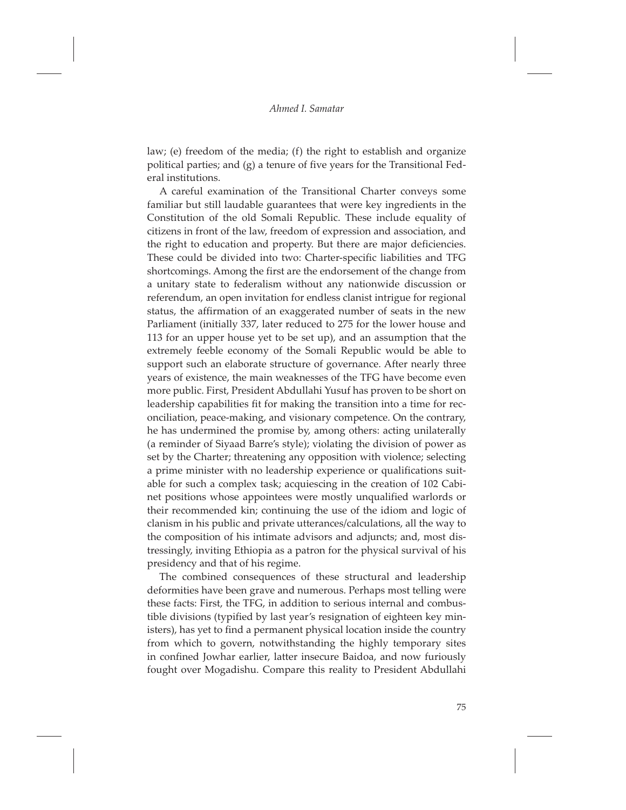law; (e) freedom of the media; (f) the right to establish and organize political parties; and (g) a tenure of five years for the Transitional Federal institutions.

A careful examination of the Transitional Charter conveys some familiar but still laudable guarantees that were key ingredients in the Constitution of the old Somali Republic. These include equality of citizens in front of the law, freedom of expression and association, and the right to education and property. But there are major deficiencies. These could be divided into two: Charter-specific liabilities and TFG shortcomings. Among the first are the endorsement of the change from a unitary state to federalism without any nationwide discussion or referendum, an open invitation for endless clanist intrigue for regional status, the affirmation of an exaggerated number of seats in the new Parliament (initially 337, later reduced to 275 for the lower house and 113 for an upper house yet to be set up), and an assumption that the extremely feeble economy of the Somali Republic would be able to support such an elaborate structure of governance. After nearly three years of existence, the main weaknesses of the TFG have become even more public. First, President Abdullahi Yusuf has proven to be short on leadership capabilities fit for making the transition into a time for reconciliation, peace-making, and visionary competence. On the contrary, he has undermined the promise by, among others: acting unilaterally (a reminder of Siyaad Barre's style); violating the division of power as set by the Charter; threatening any opposition with violence; selecting a prime minister with no leadership experience or qualifications suitable for such a complex task; acquiescing in the creation of 102 Cabinet positions whose appointees were mostly unqualified warlords or their recommended kin; continuing the use of the idiom and logic of clanism in his public and private utterances/calculations, all the way to the composition of his intimate advisors and adjuncts; and, most distressingly, inviting Ethiopia as a patron for the physical survival of his presidency and that of his regime.

The combined consequences of these structural and leadership deformities have been grave and numerous. Perhaps most telling were these facts: First, the TFG, in addition to serious internal and combustible divisions (typified by last year's resignation of eighteen key ministers), has yet to find a permanent physical location inside the country from which to govern, notwithstanding the highly temporary sites in confined Jowhar earlier, latter insecure Baidoa, and now furiously fought over Mogadishu. Compare this reality to President Abdullahi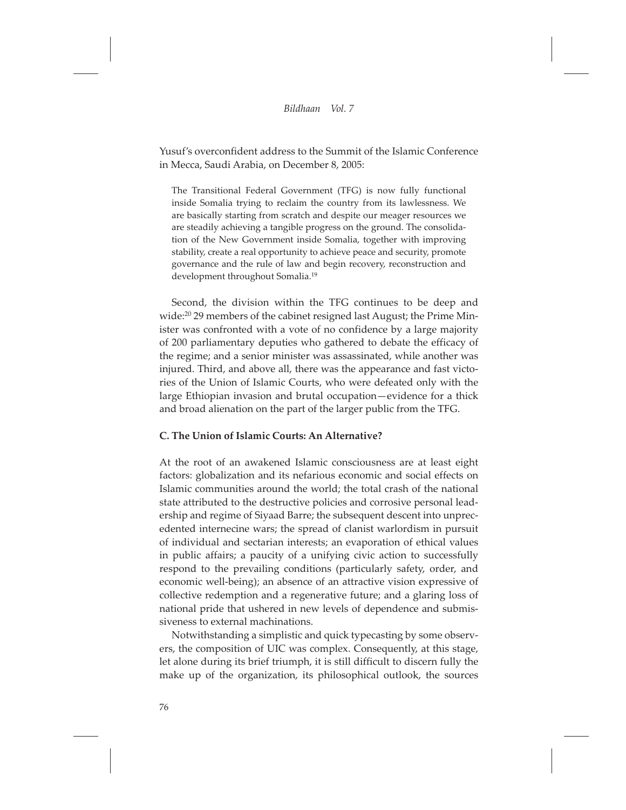Yusuf's overconfident address to the Summit of the Islamic Conference in Mecca, Saudi Arabia, on December 8, 2005:

The Transitional Federal Government (TFG) is now fully functional inside Somalia trying to reclaim the country from its lawlessness. We are basically starting from scratch and despite our meager resources we are steadily achieving a tangible progress on the ground. The consolidation of the New Government inside Somalia, together with improving stability, create a real opportunity to achieve peace and security, promote governance and the rule of law and begin recovery, reconstruction and development throughout Somalia.19

Second, the division within the TFG continues to be deep and wide:<sup>20</sup> 29 members of the cabinet resigned last August; the Prime Minister was confronted with a vote of no confidence by a large majority of 200 parliamentary deputies who gathered to debate the efficacy of the regime; and a senior minister was assassinated, while another was injured. Third, and above all, there was the appearance and fast victories of the Union of Islamic Courts, who were defeated only with the large Ethiopian invasion and brutal occupation—evidence for a thick and broad alienation on the part of the larger public from the TFG.

## **C. The Union of Islamic Courts: An Alternative?**

At the root of an awakened Islamic consciousness are at least eight factors: globalization and its nefarious economic and social effects on Islamic communities around the world; the total crash of the national state attributed to the destructive policies and corrosive personal leadership and regime of Siyaad Barre; the subsequent descent into unprecedented internecine wars; the spread of clanist warlordism in pursuit of individual and sectarian interests; an evaporation of ethical values in public affairs; a paucity of a unifying civic action to successfully respond to the prevailing conditions (particularly safety, order, and economic well-being); an absence of an attractive vision expressive of collective redemption and a regenerative future; and a glaring loss of national pride that ushered in new levels of dependence and submissiveness to external machinations.

Notwithstanding a simplistic and quick typecasting by some observers, the composition of UIC was complex. Consequently, at this stage, let alone during its brief triumph, it is still difficult to discern fully the make up of the organization, its philosophical outlook, the sources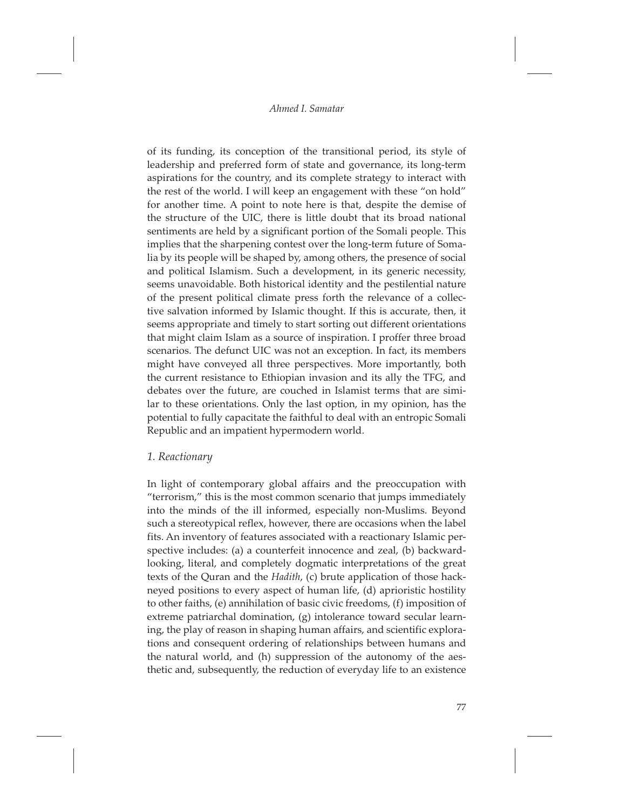of its funding, its conception of the transitional period, its style of leadership and preferred form of state and governance, its long-term aspirations for the country, and its complete strategy to interact with the rest of the world. I will keep an engagement with these "on hold" for another time. A point to note here is that, despite the demise of the structure of the UIC, there is little doubt that its broad national sentiments are held by a significant portion of the Somali people. This implies that the sharpening contest over the long-term future of Somalia by its people will be shaped by, among others, the presence of social and political Islamism. Such a development, in its generic necessity, seems unavoidable. Both historical identity and the pestilential nature of the present political climate press forth the relevance of a collective salvation informed by Islamic thought. If this is accurate, then, it seems appropriate and timely to start sorting out different orientations that might claim Islam as a source of inspiration. I proffer three broad scenarios. The defunct UIC was not an exception. In fact, its members might have conveyed all three perspectives. More importantly, both the current resistance to Ethiopian invasion and its ally the TFG, and debates over the future, are couched in Islamist terms that are similar to these orientations. Only the last option, in my opinion, has the potential to fully capacitate the faithful to deal with an entropic Somali Republic and an impatient hypermodern world.

## *1. Reactionary*

In light of contemporary global affairs and the preoccupation with "terrorism," this is the most common scenario that jumps immediately into the minds of the ill informed, especially non-Muslims. Beyond such a stereotypical reflex, however, there are occasions when the label fits. An inventory of features associated with a reactionary Islamic perspective includes: (a) a counterfeit innocence and zeal, (b) backwardlooking, literal, and completely dogmatic interpretations of the great texts of the Quran and the *Hadith*, (c) brute application of those hackneyed positions to every aspect of human life, (d) aprioristic hostility to other faiths, (e) annihilation of basic civic freedoms, (f) imposition of extreme patriarchal domination, (g) intolerance toward secular learning, the play of reason in shaping human affairs, and scientific explorations and consequent ordering of relationships between humans and the natural world, and (h) suppression of the autonomy of the aesthetic and, subsequently, the reduction of everyday life to an existence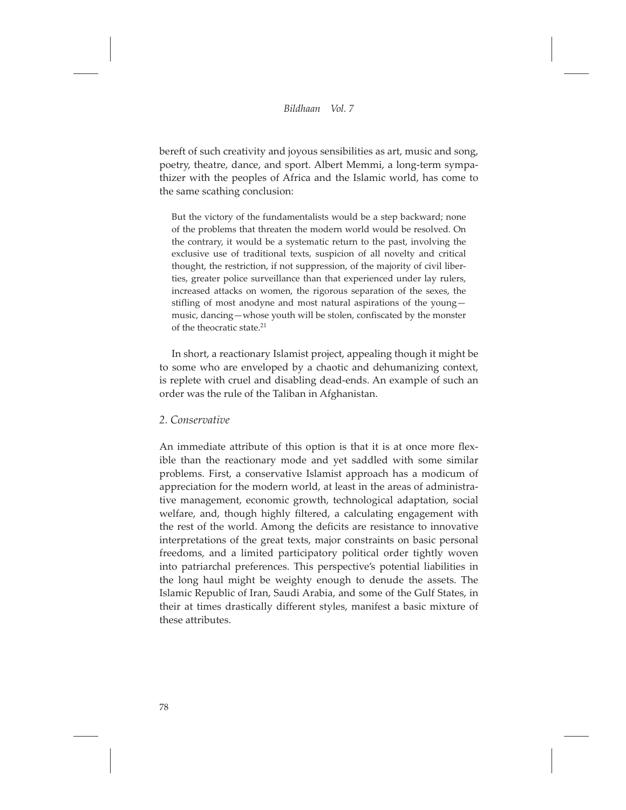bereft of such creativity and joyous sensibilities as art, music and song, poetry, theatre, dance, and sport. Albert Memmi, a long-term sympathizer with the peoples of Africa and the Islamic world, has come to the same scathing conclusion:

But the victory of the fundamentalists would be a step backward; none of the problems that threaten the modern world would be resolved. On the contrary, it would be a systematic return to the past, involving the exclusive use of traditional texts, suspicion of all novelty and critical thought, the restriction, if not suppression, of the majority of civil liberties, greater police surveillance than that experienced under lay rulers, increased attacks on women, the rigorous separation of the sexes, the stifling of most anodyne and most natural aspirations of the young music, dancing—whose youth will be stolen, confiscated by the monster of the theocratic state.<sup>21</sup>

In short, a reactionary Islamist project, appealing though it might be to some who are enveloped by a chaotic and dehumanizing context, is replete with cruel and disabling dead-ends. An example of such an order was the rule of the Taliban in Afghanistan.

## *2. Conservative*

An immediate attribute of this option is that it is at once more flexible than the reactionary mode and yet saddled with some similar problems. First, a conservative Islamist approach has a modicum of appreciation for the modern world, at least in the areas of administrative management, economic growth, technological adaptation, social welfare, and, though highly filtered, a calculating engagement with the rest of the world. Among the deficits are resistance to innovative interpretations of the great texts, major constraints on basic personal freedoms, and a limited participatory political order tightly woven into patriarchal preferences. This perspective's potential liabilities in the long haul might be weighty enough to denude the assets. The Islamic Republic of Iran, Saudi Arabia, and some of the Gulf States, in their at times drastically different styles, manifest a basic mixture of these attributes.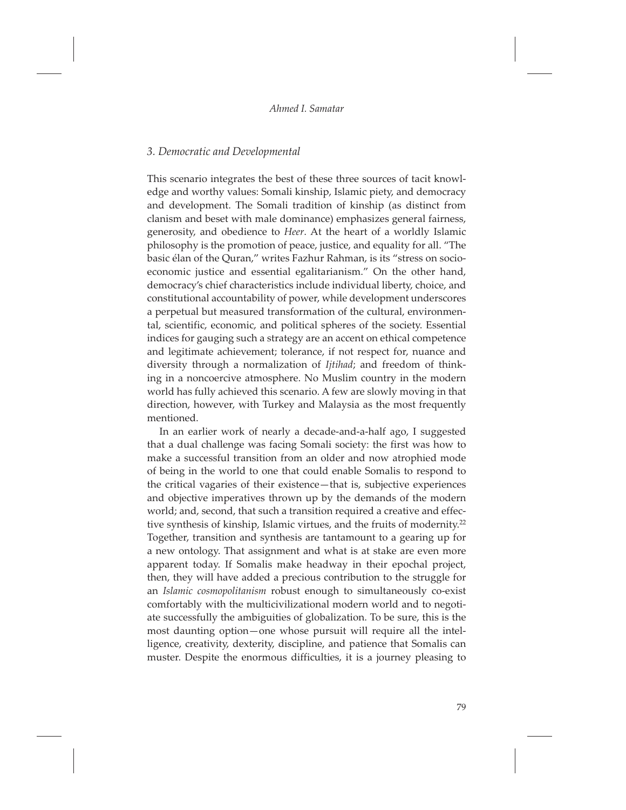#### *3. Democratic and Developmental*

This scenario integrates the best of these three sources of tacit knowledge and worthy values: Somali kinship, Islamic piety, and democracy and development. The Somali tradition of kinship (as distinct from clanism and beset with male dominance) emphasizes general fairness, generosity, and obedience to *Heer*. At the heart of a worldly Islamic philosophy is the promotion of peace, justice, and equality for all. "The basic élan of the Quran," writes Fazhur Rahman, is its "stress on socioeconomic justice and essential egalitarianism." On the other hand, democracy's chief characteristics include individual liberty, choice, and constitutional accountability of power, while development underscores a perpetual but measured transformation of the cultural, environmental, scientific, economic, and political spheres of the society. Essential indices for gauging such a strategy are an accent on ethical competence and legitimate achievement; tolerance, if not respect for, nuance and diversity through a normalization of *Ijtihad*; and freedom of thinking in a noncoercive atmosphere. No Muslim country in the modern world has fully achieved this scenario. A few are slowly moving in that direction, however, with Turkey and Malaysia as the most frequently mentioned.

In an earlier work of nearly a decade-and-a-half ago, I suggested that a dual challenge was facing Somali society: the first was how to make a successful transition from an older and now atrophied mode of being in the world to one that could enable Somalis to respond to the critical vagaries of their existence—that is, subjective experiences and objective imperatives thrown up by the demands of the modern world; and, second, that such a transition required a creative and effective synthesis of kinship, Islamic virtues, and the fruits of modernity.<sup>22</sup> Together, transition and synthesis are tantamount to a gearing up for a new ontology. That assignment and what is at stake are even more apparent today. If Somalis make headway in their epochal project, then, they will have added a precious contribution to the struggle for an *Islamic cosmopolitanism* robust enough to simultaneously co-exist comfortably with the multicivilizational modern world and to negotiate successfully the ambiguities of globalization. To be sure, this is the most daunting option—one whose pursuit will require all the intelligence, creativity, dexterity, discipline, and patience that Somalis can muster. Despite the enormous difficulties, it is a journey pleasing to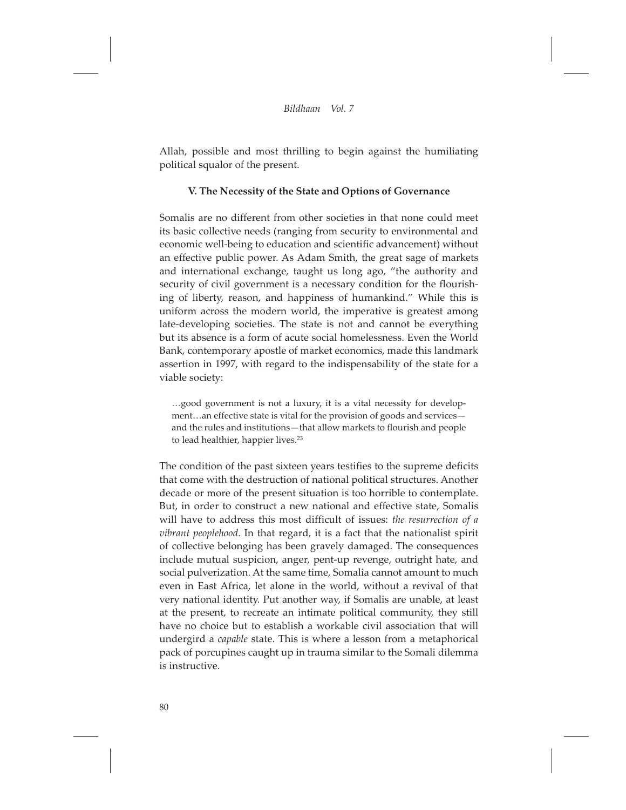Allah, possible and most thrilling to begin against the humiliating political squalor of the present.

## **V. The Necessity of the State and Options of Governance**

Somalis are no different from other societies in that none could meet its basic collective needs (ranging from security to environmental and economic well-being to education and scientific advancement) without an effective public power. As Adam Smith, the great sage of markets and international exchange, taught us long ago, "the authority and security of civil government is a necessary condition for the flourishing of liberty, reason, and happiness of humankind." While this is uniform across the modern world, the imperative is greatest among late-developing societies. The state is not and cannot be everything but its absence is a form of acute social homelessness. Even the World Bank, contemporary apostle of market economics, made this landmark assertion in 1997, with regard to the indispensability of the state for a viable society:

…good government is not a luxury, it is a vital necessity for development…an effective state is vital for the provision of goods and services and the rules and institutions—that allow markets to flourish and people to lead healthier, happier lives.<sup>23</sup>

The condition of the past sixteen years testifies to the supreme deficits that come with the destruction of national political structures. Another decade or more of the present situation is too horrible to contemplate. But, in order to construct a new national and effective state, Somalis will have to address this most difficult of issues: *the resurrection of a vibrant peoplehood*. In that regard, it is a fact that the nationalist spirit of collective belonging has been gravely damaged. The consequences include mutual suspicion, anger, pent-up revenge, outright hate, and social pulverization. At the same time, Somalia cannot amount to much even in East Africa, let alone in the world, without a revival of that very national identity. Put another way, if Somalis are unable, at least at the present, to recreate an intimate political community, they still have no choice but to establish a workable civil association that will undergird a *capable* state. This is where a lesson from a metaphorical pack of porcupines caught up in trauma similar to the Somali dilemma is instructive.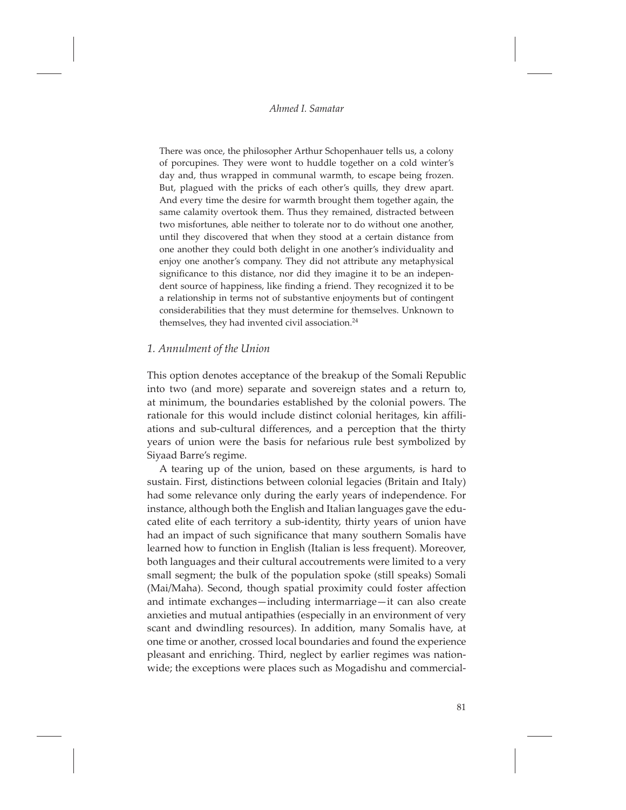There was once, the philosopher Arthur Schopenhauer tells us, a colony of porcupines. They were wont to huddle together on a cold winter's day and, thus wrapped in communal warmth, to escape being frozen. But, plagued with the pricks of each other's quills, they drew apart. And every time the desire for warmth brought them together again, the same calamity overtook them. Thus they remained, distracted between two misfortunes, able neither to tolerate nor to do without one another, until they discovered that when they stood at a certain distance from one another they could both delight in one another's individuality and enjoy one another's company. They did not attribute any metaphysical significance to this distance, nor did they imagine it to be an independent source of happiness, like finding a friend. They recognized it to be a relationship in terms not of substantive enjoyments but of contingent considerabilities that they must determine for themselves. Unknown to themselves, they had invented civil association.<sup>24</sup>

### *1. Annulment of the Union*

This option denotes acceptance of the breakup of the Somali Republic into two (and more) separate and sovereign states and a return to, at minimum, the boundaries established by the colonial powers. The rationale for this would include distinct colonial heritages, kin affiliations and sub-cultural differences, and a perception that the thirty years of union were the basis for nefarious rule best symbolized by Siyaad Barre's regime.

A tearing up of the union, based on these arguments, is hard to sustain. First, distinctions between colonial legacies (Britain and Italy) had some relevance only during the early years of independence. For instance, although both the English and Italian languages gave the educated elite of each territory a sub-identity, thirty years of union have had an impact of such significance that many southern Somalis have learned how to function in English (Italian is less frequent). Moreover, both languages and their cultural accoutrements were limited to a very small segment; the bulk of the population spoke (still speaks) Somali (Mai/Maha). Second, though spatial proximity could foster affection and intimate exchanges—including intermarriage—it can also create anxieties and mutual antipathies (especially in an environment of very scant and dwindling resources). In addition, many Somalis have, at one time or another, crossed local boundaries and found the experience pleasant and enriching. Third, neglect by earlier regimes was nationwide; the exceptions were places such as Mogadishu and commercial-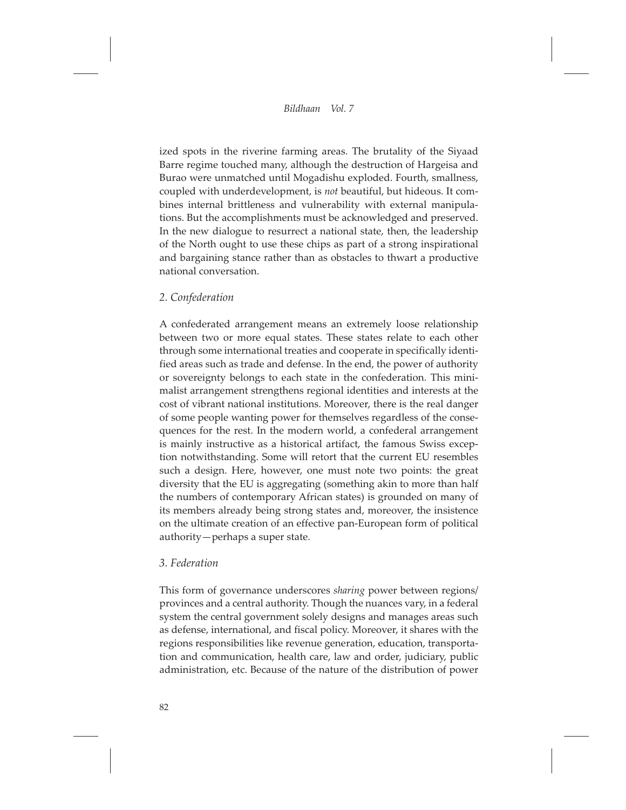ized spots in the riverine farming areas. The brutality of the Siyaad Barre regime touched many, although the destruction of Hargeisa and Burao were unmatched until Mogadishu exploded. Fourth, smallness, coupled with underdevelopment, is *not* beautiful, but hideous. It combines internal brittleness and vulnerability with external manipulations. But the accomplishments must be acknowledged and preserved. In the new dialogue to resurrect a national state, then, the leadership of the North ought to use these chips as part of a strong inspirational and bargaining stance rather than as obstacles to thwart a productive national conversation.

## *2. Confederation*

A confederated arrangement means an extremely loose relationship between two or more equal states. These states relate to each other through some international treaties and cooperate in specifically identified areas such as trade and defense. In the end, the power of authority or sovereignty belongs to each state in the confederation. This minimalist arrangement strengthens regional identities and interests at the cost of vibrant national institutions. Moreover, there is the real danger of some people wanting power for themselves regardless of the consequences for the rest. In the modern world, a confederal arrangement is mainly instructive as a historical artifact, the famous Swiss exception notwithstanding. Some will retort that the current EU resembles such a design. Here, however, one must note two points: the great diversity that the EU is aggregating (something akin to more than half the numbers of contemporary African states) is grounded on many of its members already being strong states and, moreover, the insistence on the ultimate creation of an effective pan-European form of political authority—perhaps a super state.

## *3. Federation*

This form of governance underscores *sharing* power between regions/ provinces and a central authority. Though the nuances vary, in a federal system the central government solely designs and manages areas such as defense, international, and fiscal policy. Moreover, it shares with the regions responsibilities like revenue generation, education, transportation and communication, health care, law and order, judiciary, public administration, etc. Because of the nature of the distribution of power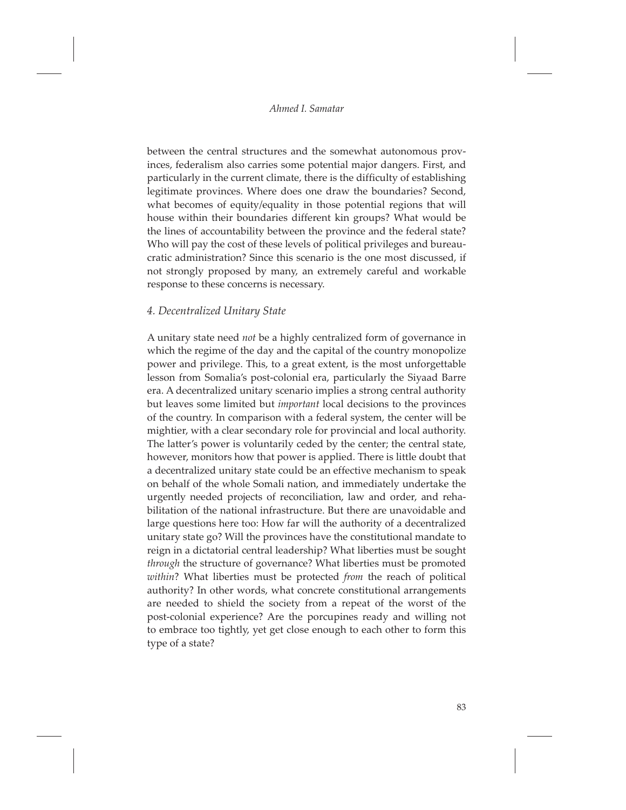between the central structures and the somewhat autonomous provinces, federalism also carries some potential major dangers. First, and particularly in the current climate, there is the difficulty of establishing legitimate provinces. Where does one draw the boundaries? Second, what becomes of equity/equality in those potential regions that will house within their boundaries different kin groups? What would be the lines of accountability between the province and the federal state? Who will pay the cost of these levels of political privileges and bureaucratic administration? Since this scenario is the one most discussed, if not strongly proposed by many, an extremely careful and workable response to these concerns is necessary.

## *4. Decentralized Unitary State*

A unitary state need *not* be a highly centralized form of governance in which the regime of the day and the capital of the country monopolize power and privilege. This, to a great extent, is the most unforgettable lesson from Somalia's post-colonial era, particularly the Siyaad Barre era. A decentralized unitary scenario implies a strong central authority but leaves some limited but *important* local decisions to the provinces of the country. In comparison with a federal system, the center will be mightier, with a clear secondary role for provincial and local authority. The latter's power is voluntarily ceded by the center; the central state, however, monitors how that power is applied. There is little doubt that a decentralized unitary state could be an effective mechanism to speak on behalf of the whole Somali nation, and immediately undertake the urgently needed projects of reconciliation, law and order, and rehabilitation of the national infrastructure. But there are unavoidable and large questions here too: How far will the authority of a decentralized unitary state go? Will the provinces have the constitutional mandate to reign in a dictatorial central leadership? What liberties must be sought *through* the structure of governance? What liberties must be promoted *within*? What liberties must be protected *from* the reach of political authority? In other words, what concrete constitutional arrangements are needed to shield the society from a repeat of the worst of the post-colonial experience? Are the porcupines ready and willing not to embrace too tightly, yet get close enough to each other to form this type of a state?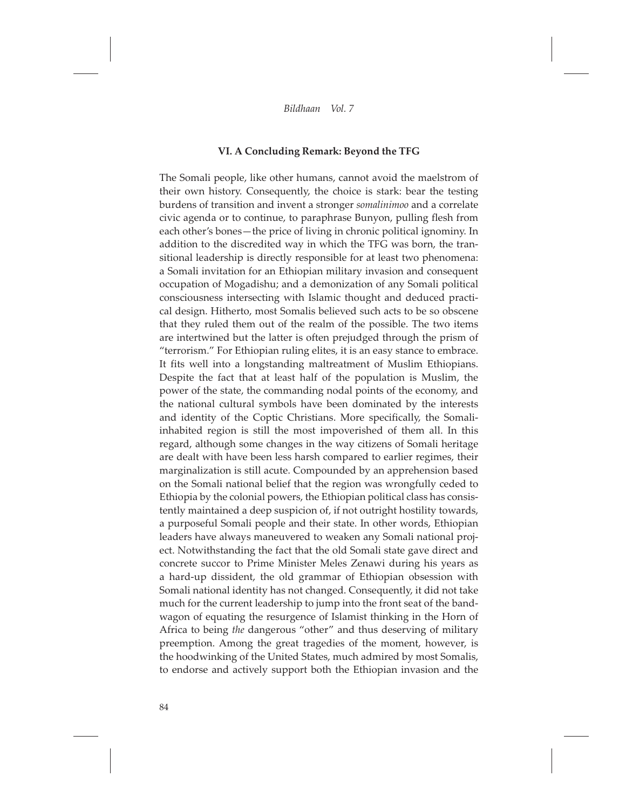## **VI. A Concluding Remark: Beyond the TFG**

The Somali people, like other humans, cannot avoid the maelstrom of their own history. Consequently, the choice is stark: bear the testing burdens of transition and invent a stronger *somalinimoo* and a correlate civic agenda or to continue, to paraphrase Bunyon, pulling flesh from each other's bones—the price of living in chronic political ignominy. In addition to the discredited way in which the TFG was born, the transitional leadership is directly responsible for at least two phenomena: a Somali invitation for an Ethiopian military invasion and consequent occupation of Mogadishu; and a demonization of any Somali political consciousness intersecting with Islamic thought and deduced practical design. Hitherto, most Somalis believed such acts to be so obscene that they ruled them out of the realm of the possible. The two items are intertwined but the latter is often prejudged through the prism of "terrorism." For Ethiopian ruling elites, it is an easy stance to embrace. It fits well into a longstanding maltreatment of Muslim Ethiopians. Despite the fact that at least half of the population is Muslim, the power of the state, the commanding nodal points of the economy, and the national cultural symbols have been dominated by the interests and identity of the Coptic Christians. More specifically, the Somaliinhabited region is still the most impoverished of them all. In this regard, although some changes in the way citizens of Somali heritage are dealt with have been less harsh compared to earlier regimes, their marginalization is still acute. Compounded by an apprehension based on the Somali national belief that the region was wrongfully ceded to Ethiopia by the colonial powers, the Ethiopian political class has consistently maintained a deep suspicion of, if not outright hostility towards, a purposeful Somali people and their state. In other words, Ethiopian leaders have always maneuvered to weaken any Somali national project. Notwithstanding the fact that the old Somali state gave direct and concrete succor to Prime Minister Meles Zenawi during his years as a hard-up dissident, the old grammar of Ethiopian obsession with Somali national identity has not changed. Consequently, it did not take much for the current leadership to jump into the front seat of the bandwagon of equating the resurgence of Islamist thinking in the Horn of Africa to being *the* dangerous "other" and thus deserving of military preemption. Among the great tragedies of the moment, however, is the hoodwinking of the United States, much admired by most Somalis, to endorse and actively support both the Ethiopian invasion and the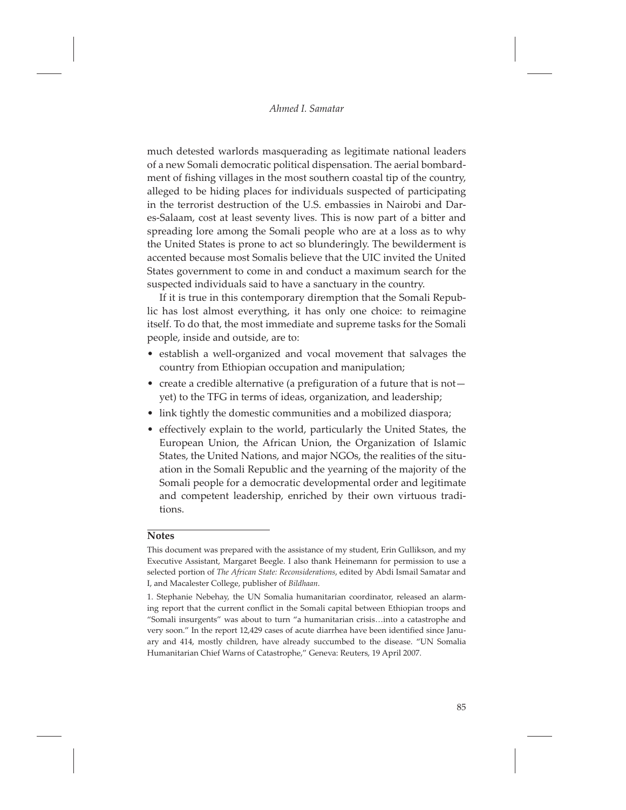much detested warlords masquerading as legitimate national leaders of a new Somali democratic political dispensation. The aerial bombardment of fishing villages in the most southern coastal tip of the country, alleged to be hiding places for individuals suspected of participating in the terrorist destruction of the U.S. embassies in Nairobi and Dares-Salaam, cost at least seventy lives. This is now part of a bitter and spreading lore among the Somali people who are at a loss as to why the United States is prone to act so blunderingly. The bewilderment is accented because most Somalis believe that the UIC invited the United States government to come in and conduct a maximum search for the suspected individuals said to have a sanctuary in the country.

If it is true in this contemporary diremption that the Somali Republic has lost almost everything, it has only one choice: to reimagine itself. To do that, the most immediate and supreme tasks for the Somali people, inside and outside, are to:

- establish a well-organized and vocal movement that salvages the country from Ethiopian occupation and manipulation;
- create a credible alternative (a prefiguration of a future that is not yet) to the TFG in terms of ideas, organization, and leadership;
- link tightly the domestic communities and a mobilized diaspora;
- effectively explain to the world, particularly the United States, the European Union, the African Union, the Organization of Islamic States, the United Nations, and major NGOs, the realities of the situation in the Somali Republic and the yearning of the majority of the Somali people for a democratic developmental order and legitimate and competent leadership, enriched by their own virtuous traditions.

#### **Notes**

This document was prepared with the assistance of my student, Erin Gullikson, and my Executive Assistant, Margaret Beegle. I also thank Heinemann for permission to use a selected portion of *The African State: Reconsiderations*, edited by Abdi Ismail Samatar and I, and Macalester College, publisher of *Bildhaan*.

<sup>1.</sup> Stephanie Nebehay, the UN Somalia humanitarian coordinator, released an alarming report that the current conflict in the Somali capital between Ethiopian troops and "Somali insurgents" was about to turn "a humanitarian crisis…into a catastrophe and very soon." In the report 12,429 cases of acute diarrhea have been identified since January and 414, mostly children, have already succumbed to the disease. "UN Somalia Humanitarian Chief Warns of Catastrophe," Geneva: Reuters, 19 April 2007.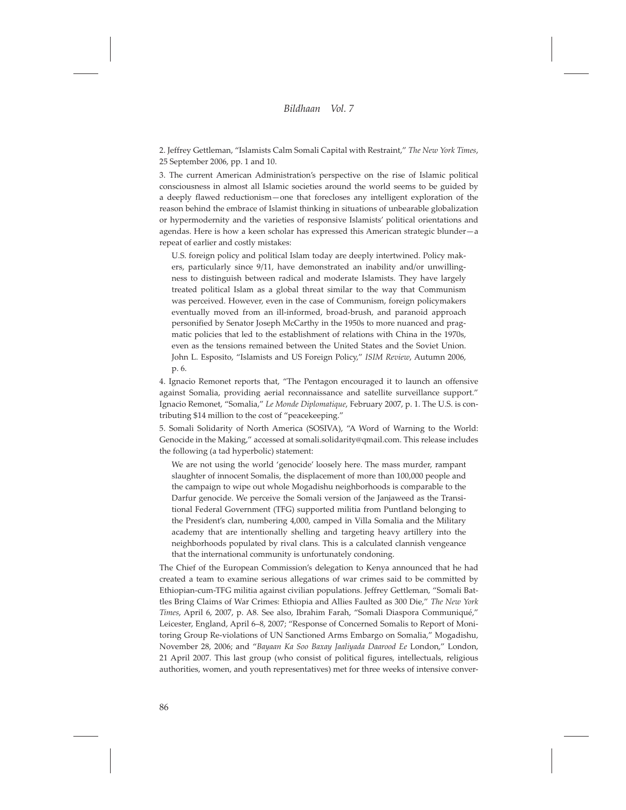2. Jeffrey Gettleman, "Islamists Calm Somali Capital with Restraint," *The New York Times*, 25 September 2006, pp. 1 and 10.

3. The current American Administration's perspective on the rise of Islamic political consciousness in almost all Islamic societies around the world seems to be guided by a deeply flawed reductionism—one that forecloses any intelligent exploration of the reason behind the embrace of Islamist thinking in situations of unbearable globalization or hypermodernity and the varieties of responsive Islamists' political orientations and agendas. Here is how a keen scholar has expressed this American strategic blunder—a repeat of earlier and costly mistakes:

U.S. foreign policy and political Islam today are deeply intertwined. Policy makers, particularly since 9/11, have demonstrated an inability and/or unwillingness to distinguish between radical and moderate Islamists. They have largely treated political Islam as a global threat similar to the way that Communism was perceived. However, even in the case of Communism, foreign policymakers eventually moved from an ill-informed, broad-brush, and paranoid approach personified by Senator Joseph McCarthy in the 1950s to more nuanced and pragmatic policies that led to the establishment of relations with China in the 1970s, even as the tensions remained between the United States and the Soviet Union. John L. Esposito, "Islamists and US Foreign Policy," *ISIM Review*, Autumn 2006, p. 6.

4. Ignacio Remonet reports that, "The Pentagon encouraged it to launch an offensive against Somalia, providing aerial reconnaissance and satellite surveillance support." Ignacio Remonet, "Somalia," *Le Monde Diplomatique*, February 2007, p. 1. The U.S. is contributing \$14 million to the cost of "peacekeeping."

5. Somali Solidarity of North America (SOSIVA), "A Word of Warning to the World: Genocide in the Making," accessed at somali.solidarity@qmail.com. This release includes the following (a tad hyperbolic) statement:

We are not using the world 'genocide' loosely here. The mass murder, rampant slaughter of innocent Somalis, the displacement of more than 100,000 people and the campaign to wipe out whole Mogadishu neighborhoods is comparable to the Darfur genocide. We perceive the Somali version of the Janjaweed as the Transitional Federal Government (TFG) supported militia from Puntland belonging to the President's clan, numbering 4,000, camped in Villa Somalia and the Military academy that are intentionally shelling and targeting heavy artillery into the neighborhoods populated by rival clans. This is a calculated clannish vengeance that the international community is unfortunately condoning.

The Chief of the European Commission's delegation to Kenya announced that he had created a team to examine serious allegations of war crimes said to be committed by Ethiopian-cum-TFG militia against civilian populations. Jeffrey Gettleman, "Somali Battles Bring Claims of War Crimes: Ethiopia and Allies Faulted as 300 Die," *The New York Times*, April 6, 2007, p. A8. See also, Ibrahim Farah, "Somali Diaspora Communiqué," Leicester, England, April 6–8, 2007; "Response of Concerned Somalis to Report of Monitoring Group Re-violations of UN Sanctioned Arms Embargo on Somalia," Mogadishu, November 28, 2006; and "*Bayaan Ka Soo Baxay Jaaliyada Daarood Ee* London," London, 21 April 2007. This last group (who consist of political figures, intellectuals, religious authorities, women, and youth representatives) met for three weeks of intensive conver-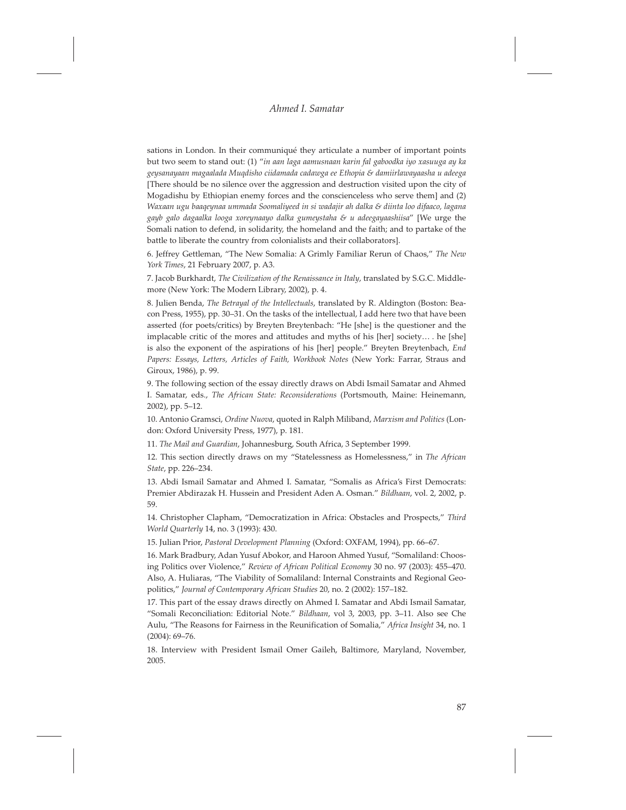#### *Ahmed I. Samatar*

sations in London. In their communiqué they articulate a number of important points but two seem to stand out: (1) "*in aan laga aamusnaan karin fal gaboodka iyo xasuuga ay ka geysanayaan magaalada Muqdisho ciidamada cadawga ee Ethopia & damiirlawayaasha u adeega* [There should be no silence over the aggression and destruction visited upon the city of Mogadishu by Ethiopian enemy forces and the conscienceless who serve them] and (2) *Waxaan ugu baaqeynaa ummada Soomaliyeed in si wadajir ah dalka & diinta loo difaaco, lagana gayb galo dagaalka looga xoreynaayo dalka gumeystaha & u adeegayaashiisa*" [We urge the Somali nation to defend, in solidarity, the homeland and the faith; and to partake of the battle to liberate the country from colonialists and their collaborators].

6. Jeffrey Gettleman, "The New Somalia: A Grimly Familiar Rerun of Chaos," *The New York Times*, 21 February 2007, p. A3.

7. Jacob Burkhardt, *The Civilization of the Renaissance in Italy*, translated by S.G.C. Middlemore (New York: The Modern Library, 2002), p. 4.

8. Julien Benda, *The Betrayal of the Intellectuals*, translated by R. Aldington (Boston: Beacon Press, 1955), pp. 30–31. On the tasks of the intellectual, I add here two that have been asserted (for poets/critics) by Breyten Breytenbach: "He [she] is the questioner and the implacable critic of the mores and attitudes and myths of his [her] society… . he [she] is also the exponent of the aspirations of his [her] people." Breyten Breytenbach, *End Papers: Essays, Letters, Articles of Faith, Workbook Notes* (New York: Farrar, Straus and Giroux, 1986), p. 99.

9. The following section of the essay directly draws on Abdi Ismail Samatar and Ahmed I. Samatar, eds., *The African State: Reconsiderations* (Portsmouth, Maine: Heinemann, 2002), pp. 5–12.

10. Antonio Gramsci, *Ordine Nuova*, quoted in Ralph Miliband, *Marxism and Politics* (London: Oxford University Press, 1977), p. 181.

11. *The Mail and Guardian*, Johannesburg, South Africa, 3 September 1999.

12. This section directly draws on my "Statelessness as Homelessness," in *The African State*, pp. 226–234.

13. Abdi Ismail Samatar and Ahmed I. Samatar, "Somalis as Africa's First Democrats: Premier Abdirazak H. Hussein and President Aden A. Osman." *Bildhaan*, vol. 2, 2002, p. 59.

14. Christopher Clapham, "Democratization in Africa: Obstacles and Prospects," *Third World Quarterly* 14, no. 3 (1993): 430.

15. Julian Prior, *Pastoral Development Planning* (Oxford: OXFAM, 1994), pp. 66–67.

16. Mark Bradbury, Adan Yusuf Abokor, and Haroon Ahmed Yusuf, "Somaliland: Choosing Politics over Violence," *Review of African Political Economy* 30 no. 97 (2003): 455–470. Also, A. Huliaras, "The Viability of Somaliland: Internal Constraints and Regional Geopolitics," *Journal of Contemporary African Studies* 20, no. 2 (2002): 157–182.

17. This part of the essay draws directly on Ahmed I. Samatar and Abdi Ismail Samatar, "Somali Reconciliation: Editorial Note." *Bildhaan*, vol 3, 2003, pp. 3–11. Also see Che Aulu, "The Reasons for Fairness in the Reunification of Somalia," *Africa Insight* 34, no. 1 (2004): 69–76.

18. Interview with President Ismail Omer Gaileh, Baltimore, Maryland, November, 2005.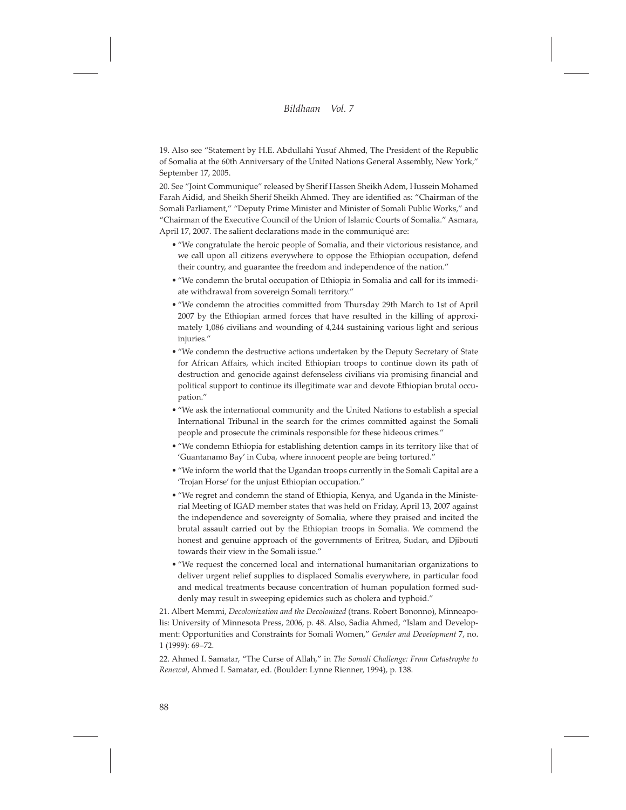19. Also see "Statement by H.E. Abdullahi Yusuf Ahmed, The President of the Republic of Somalia at the 60th Anniversary of the United Nations General Assembly, New York," September 17, 2005.

20. See "Joint Communique" released by Sherif Hassen Sheikh Adem, Hussein Mohamed Farah Aidid, and Sheikh Sherif Sheikh Ahmed. They are identified as: "Chairman of the Somali Parliament," "Deputy Prime Minister and Minister of Somali Public Works," and "Chairman of the Executive Council of the Union of Islamic Courts of Somalia." Asmara, April 17, 2007. The salient declarations made in the communiqué are:

- "We congratulate the heroic people of Somalia, and their victorious resistance, and we call upon all citizens everywhere to oppose the Ethiopian occupation, defend their country, and guarantee the freedom and independence of the nation."
- "We condemn the brutal occupation of Ethiopia in Somalia and call for its immediate withdrawal from sovereign Somali territory."
- "We condemn the atrocities committed from Thursday 29th March to 1st of April 2007 by the Ethiopian armed forces that have resulted in the killing of approximately 1,086 civilians and wounding of 4,244 sustaining various light and serious injuries."
- "We condemn the destructive actions undertaken by the Deputy Secretary of State for African Affairs, which incited Ethiopian troops to continue down its path of destruction and genocide against defenseless civilians via promising financial and political support to continue its illegitimate war and devote Ethiopian brutal occupation."
- "We ask the international community and the United Nations to establish a special International Tribunal in the search for the crimes committed against the Somali people and prosecute the criminals responsible for these hideous crimes."
- "We condemn Ethiopia for establishing detention camps in its territory like that of 'Guantanamo Bay' in Cuba, where innocent people are being tortured."
- "We inform the world that the Ugandan troops currently in the Somali Capital are a 'Trojan Horse' for the unjust Ethiopian occupation."
- "We regret and condemn the stand of Ethiopia, Kenya, and Uganda in the Ministerial Meeting of IGAD member states that was held on Friday, April 13, 2007 against the independence and sovereignty of Somalia, where they praised and incited the brutal assault carried out by the Ethiopian troops in Somalia. We commend the honest and genuine approach of the governments of Eritrea, Sudan, and Djibouti towards their view in the Somali issue."
- "We request the concerned local and international humanitarian organizations to deliver urgent relief supplies to displaced Somalis everywhere, in particular food and medical treatments because concentration of human population formed suddenly may result in sweeping epidemics such as cholera and typhoid."

21. Albert Memmi, *Decolonization and the Decolonized* (trans. Robert Bononno), Minneapolis: University of Minnesota Press, 2006, p. 48. Also, Sadia Ahmed, "Islam and Development: Opportunities and Constraints for Somali Women," *Gender and Development* 7, no. 1 (1999): 69–72.

22. Ahmed I. Samatar, "The Curse of Allah," in *The Somali Challenge: From Catastrophe to Renewal*, Ahmed I. Samatar, ed. (Boulder: Lynne Rienner, 1994), p. 138.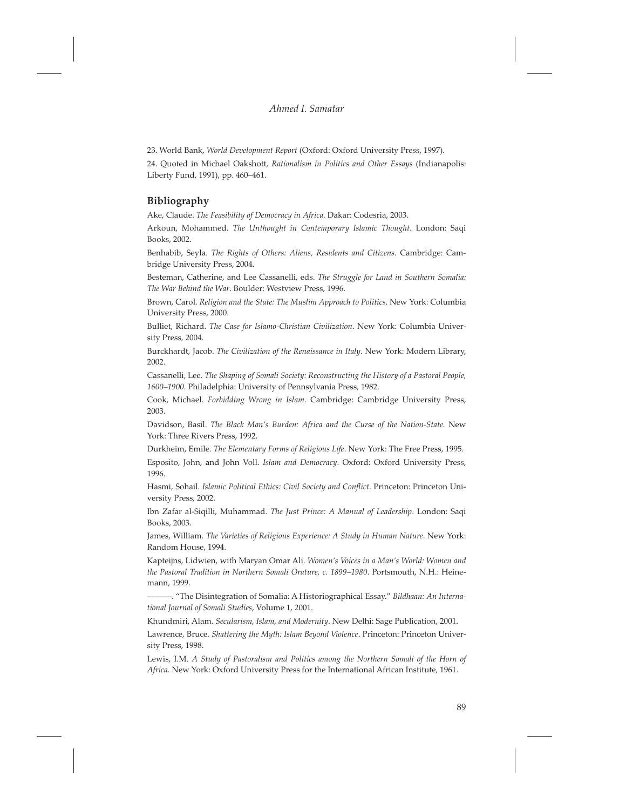23. World Bank, *World Development Report* (Oxford: Oxford University Press, 1997).

24. Quoted in Michael Oakshott, *Rationalism in Politics and Other Essays* (Indianapolis: Liberty Fund, 1991), pp. 460–461.

## **Bibliography**

Ake, Claude. *The Feasibility of Democracy in Africa*. Dakar: Codesria, 2003.

Arkoun, Mohammed. *The Unthought in Contemporary Islamic Thought*. London: Saqi Books, 2002.

Benhabib, Seyla. *The Rights of Others: Aliens, Residents and Citizens*. Cambridge: Cambridge University Press, 2004.

Besteman, Catherine, and Lee Cassanelli, eds. *The Struggle for Land in Southern Somalia: The War Behind the War*. Boulder: Westview Press, 1996.

Brown, Carol. *Religion and the State: The Muslim Approach to Politics*. New York: Columbia University Press, 2000.

Bulliet, Richard. *The Case for Islamo-Christian Civilization*. New York: Columbia University Press, 2004.

Burckhardt, Jacob. *The Civilization of the Renaissance in Italy*. New York: Modern Library, 2002.

Cassanelli, Lee. *The Shaping of Somali Society: Reconstructing the History of a Pastoral People, 1600–1900*. Philadelphia: University of Pennsylvania Press, 1982.

Cook, Michael. *Forbidding Wrong in Islam*. Cambridge: Cambridge University Press, 2003.

Davidson, Basil. *The Black Man's Burden: Africa and the Curse of the Nation-State.* New York: Three Rivers Press, 1992.

Durkheim, Emile. *The Elementary Forms of Religious Life*. New York: The Free Press, 1995.

Esposito, John, and John Voll. *Islam and Democracy*. Oxford: Oxford University Press, 1996.

Hasmi, Sohail. *Islamic Political Ethics: Civil Society and Conflict*. Princeton: Princeton University Press, 2002.

Ibn Zafar al-Siqilli, Muhammad. *The Just Prince: A Manual of Leadership*. London: Saqi Books, 2003.

James, William. *The Varieties of Religious Experience: A Study in Human Nature*. New York: Random House, 1994.

Kapteijns, Lidwien, with Maryan Omar Ali. *Women's Voices in a Man's World: Women and the Pastoral Tradition in Northern Somali Orature, c. 1899–1980*. Portsmouth, N.H.: Heinemann, 1999.

―――. "The Disintegration of Somalia: A Historiographical Essay." *Bildhaan: An International Journal of Somali Studies*, Volume 1, 2001.

Khundmiri, Alam. *Secularism, Islam, and Modernity*. New Delhi: Sage Publication, 2001.

Lawrence, Bruce. *Shattering the Myth: Islam Beyond Violence*. Princeton: Princeton University Press, 1998.

Lewis, I.M. *A Study of Pastoralism and Politics among the Northern Somali of the Horn of Africa.* New York: Oxford University Press for the International African Institute, 1961.